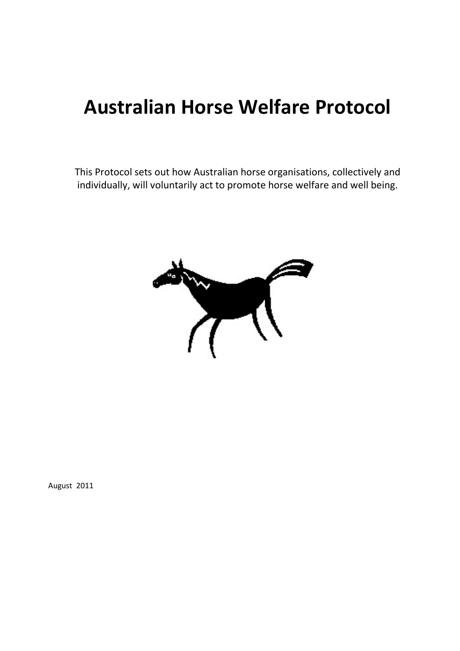# Australian Horse Welfare Protocol

This Protocol sets out how Australian horse organisations, collectively and individually, will voluntarily act to promote horse welfare and well being.



August 2011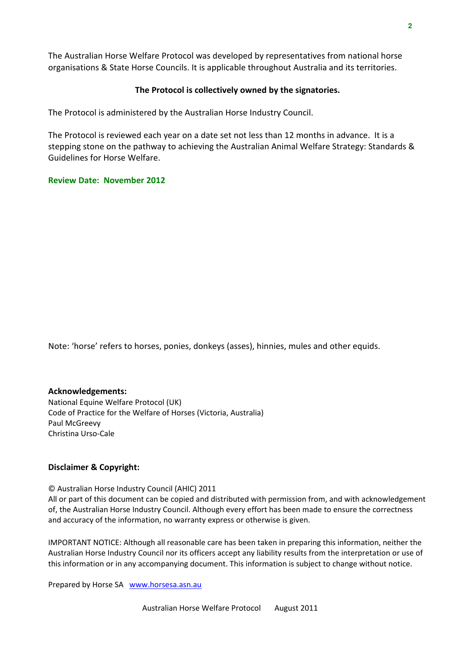The Australian Horse Welfare Protocol was developed by representatives from national horse organisations & State Horse Councils. It is applicable throughout Australia and its territories.

#### The Protocol is collectively owned by the signatories.

The Protocol is administered by the Australian Horse Industry Council.

The Protocol is reviewed each year on a date set not less than 12 months in advance. It is a stepping stone on the pathway to achieving the Australian Animal Welfare Strategy: Standards & Guidelines for Horse Welfare.

#### Review Date: November 2012

Note: 'horse' refers to horses, ponies, donkeys (asses), hinnies, mules and other equids.

Acknowledgements: National Equine Welfare Protocol (UK) Code of Practice for the Welfare of Horses (Victoria, Australia) Paul McGreevy Christina Urso-Cale

#### Disclaimer & Copyright:

© Australian Horse Industry Council (AHIC) 2011

All or part of this document can be copied and distributed with permission from, and with acknowledgement of, the Australian Horse Industry Council. Although every effort has been made to ensure the correctness and accuracy of the information, no warranty express or otherwise is given.

IMPORTANT NOTICE: Although all reasonable care has been taken in preparing this information, neither the Australian Horse Industry Council nor its officers accept any liability results from the interpretation or use of this information or in any accompanying document. This information is subject to change without notice.

Prepared by Horse SA www.horsesa.asn.au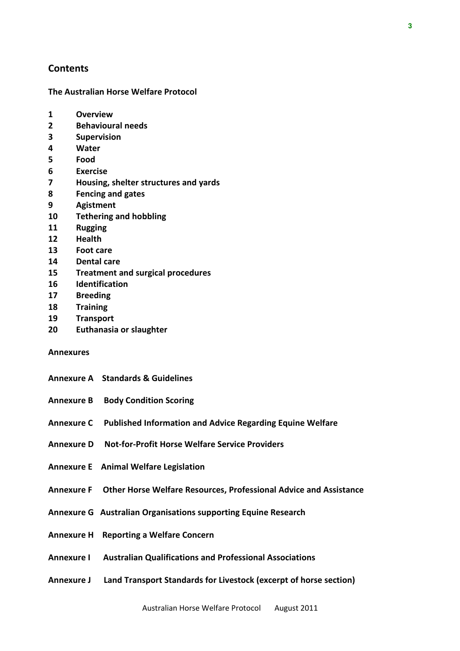#### **Contents**

The Australian Horse Welfare Protocol

- 1 Overview
- 2 Behavioural needs
- 3 Supervision
- 4 Water
- 5 Food
- 6 Exercise
- 7 Housing, shelter structures and yards
- 8 Fencing and gates
- 9 Agistment
- 10 Tethering and hobbling
- 11 Rugging
- 12 Health
- 13 Foot care
- 14 Dental care
- 15 Treatment and surgical procedures
- 16 Identification
- 17 Breeding
- 18 Training
- 19 Transport
- 20 Euthanasia or slaughter

#### Annexures

- Annexure A Standards & Guidelines
- Annexure B Body Condition Scoring
- Annexure C Published Information and Advice Regarding Equine Welfare
- Annexure D Not-for-Profit Horse Welfare Service Providers
- Annexure E Animal Welfare Legislation
- Annexure F Other Horse Welfare Resources, Professional Advice and Assistance
- Annexure G Australian Organisations supporting Equine Research
- Annexure H Reporting a Welfare Concern
- Annexure I Australian Qualifications and Professional Associations
- Annexure J Land Transport Standards for Livestock (excerpt of horse section)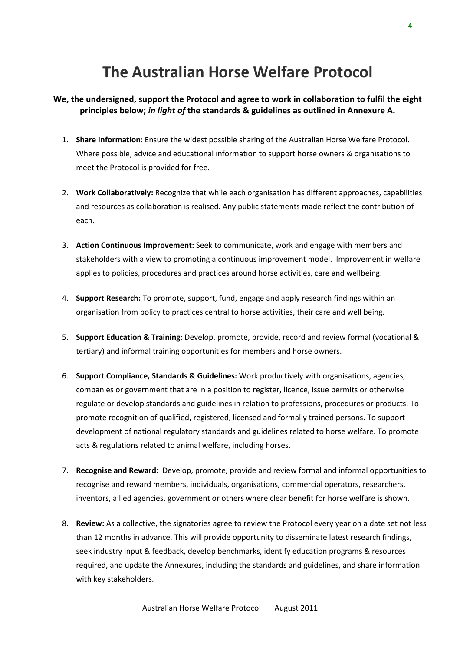## The Australian Horse Welfare Protocol

- We, the undersigned, support the Protocol and agree to work in collaboration to fulfil the eight principles below; in light of the standards & guidelines as outlined in Annexure A.
	- 1. Share Information: Ensure the widest possible sharing of the Australian Horse Welfare Protocol. Where possible, advice and educational information to support horse owners & organisations to meet the Protocol is provided for free.
	- 2. Work Collaboratively: Recognize that while each organisation has different approaches, capabilities and resources as collaboration is realised. Any public statements made reflect the contribution of each.
	- 3. Action Continuous Improvement: Seek to communicate, work and engage with members and stakeholders with a view to promoting a continuous improvement model. Improvement in welfare applies to policies, procedures and practices around horse activities, care and wellbeing.
	- 4. Support Research: To promote, support, fund, engage and apply research findings within an organisation from policy to practices central to horse activities, their care and well being.
	- 5. Support Education & Training: Develop, promote, provide, record and review formal (vocational & tertiary) and informal training opportunities for members and horse owners.
	- 6. Support Compliance, Standards & Guidelines: Work productively with organisations, agencies, companies or government that are in a position to register, licence, issue permits or otherwise regulate or develop standards and guidelines in relation to professions, procedures or products. To promote recognition of qualified, registered, licensed and formally trained persons. To support development of national regulatory standards and guidelines related to horse welfare. To promote acts & regulations related to animal welfare, including horses.
	- 7. Recognise and Reward: Develop, promote, provide and review formal and informal opportunities to recognise and reward members, individuals, organisations, commercial operators, researchers, inventors, allied agencies, government or others where clear benefit for horse welfare is shown.
	- 8. Review: As a collective, the signatories agree to review the Protocol every year on a date set not less than 12 months in advance. This will provide opportunity to disseminate latest research findings, seek industry input & feedback, develop benchmarks, identify education programs & resources required, and update the Annexures, including the standards and guidelines, and share information with key stakeholders.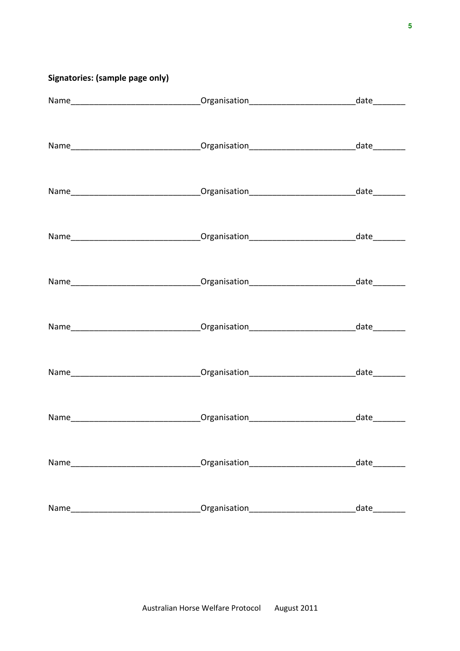## Signatories: (sample page only)

|      | Name__________________________________Organisation______________________________date_________                                                                                                                                                     |      |
|------|---------------------------------------------------------------------------------------------------------------------------------------------------------------------------------------------------------------------------------------------------|------|
|      | Name__________________________________Organisation______________________________date_________                                                                                                                                                     |      |
|      |                                                                                                                                                                                                                                                   |      |
|      |                                                                                                                                                                                                                                                   |      |
|      |                                                                                                                                                                                                                                                   |      |
|      | Name___________________________________Organisation_____________________________date_________                                                                                                                                                     |      |
|      |                                                                                                                                                                                                                                                   |      |
|      |                                                                                                                                                                                                                                                   |      |
| Name |                                                                                                                                                                                                                                                   | date |
| Name | Organisation<br>and a company of the company of the company of the company of the company of the company of the company of the<br>Second company of the company of the company of the company of the company of the company of the company of the | date |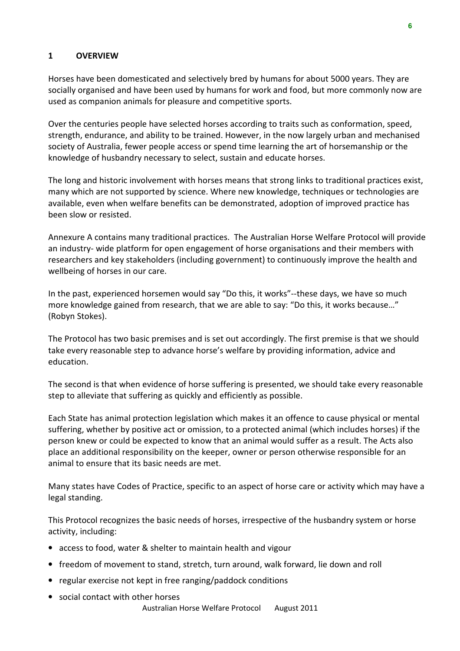#### 1 OVERVIEW

Horses have been domesticated and selectively bred by humans for about 5000 years. They are socially organised and have been used by humans for work and food, but more commonly now are used as companion animals for pleasure and competitive sports.

Over the centuries people have selected horses according to traits such as conformation, speed, strength, endurance, and ability to be trained. However, in the now largely urban and mechanised society of Australia, fewer people access or spend time learning the art of horsemanship or the knowledge of husbandry necessary to select, sustain and educate horses.

The long and historic involvement with horses means that strong links to traditional practices exist, many which are not supported by science. Where new knowledge, techniques or technologies are available, even when welfare benefits can be demonstrated, adoption of improved practice has been slow or resisted.

Annexure A contains many traditional practices. The Australian Horse Welfare Protocol will provide an industry- wide platform for open engagement of horse organisations and their members with researchers and key stakeholders (including government) to continuously improve the health and wellbeing of horses in our care.

In the past, experienced horsemen would say "Do this, it works"--these days, we have so much more knowledge gained from research, that we are able to say: "Do this, it works because…" (Robyn Stokes).

The Protocol has two basic premises and is set out accordingly. The first premise is that we should take every reasonable step to advance horse's welfare by providing information, advice and education.

The second is that when evidence of horse suffering is presented, we should take every reasonable step to alleviate that suffering as quickly and efficiently as possible.

Each State has animal protection legislation which makes it an offence to cause physical or mental suffering, whether by positive act or omission, to a protected animal (which includes horses) if the person knew or could be expected to know that an animal would suffer as a result. The Acts also place an additional responsibility on the keeper, owner or person otherwise responsible for an animal to ensure that its basic needs are met.

Many states have Codes of Practice, specific to an aspect of horse care or activity which may have a legal standing.

This Protocol recognizes the basic needs of horses, irrespective of the husbandry system or horse activity, including:

- access to food, water & shelter to maintain health and vigour
- freedom of movement to stand, stretch, turn around, walk forward, lie down and roll
- regular exercise not kept in free ranging/paddock conditions
- social contact with other horses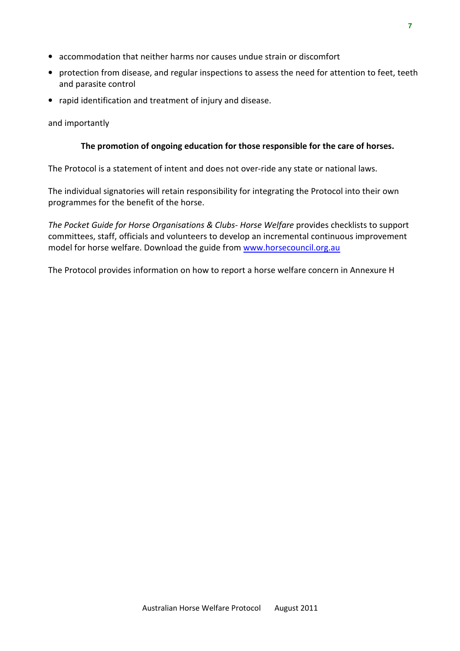- accommodation that neither harms nor causes undue strain or discomfort
- protection from disease, and regular inspections to assess the need for attention to feet, teeth and parasite control
- rapid identification and treatment of injury and disease.

and importantly

#### The promotion of ongoing education for those responsible for the care of horses.

The Protocol is a statement of intent and does not over-ride any state or national laws.

The individual signatories will retain responsibility for integrating the Protocol into their own programmes for the benefit of the horse.

The Pocket Guide for Horse Organisations & Clubs- Horse Welfare provides checklists to support committees, staff, officials and volunteers to develop an incremental continuous improvement model for horse welfare. Download the guide from www.horsecouncil.org.au

The Protocol provides information on how to report a horse welfare concern in Annexure H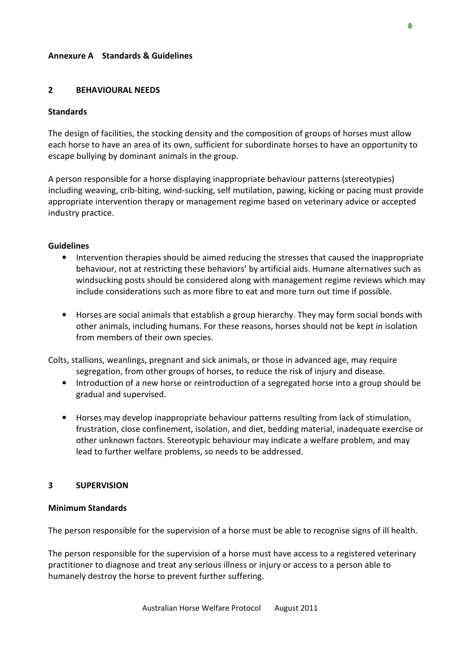#### Annexure A Standards & Guidelines

#### 2 BEHAVIOURAL NEEDS

#### **Standards**

The design of facilities, the stocking density and the composition of groups of horses must allow each horse to have an area of its own, sufficient for subordinate horses to have an opportunity to escape bullying by dominant animals in the group.

A person responsible for a horse displaying inappropriate behaviour patterns (stereotypies) including weaving, crib-biting, wind-sucking, self mutilation, pawing, kicking or pacing must provide appropriate intervention therapy or management regime based on veterinary advice or accepted industry practice.

#### Guidelines

- Intervention therapies should be aimed reducing the stresses that caused the inappropriate behaviour, not at restricting these behaviors' by artificial aids. Humane alternatives such as windsucking posts should be considered along with management regime reviews which may include considerations such as more fibre to eat and more turn out time if possible.
- Horses are social animals that establish a group hierarchy. They may form social bonds with other animals, including humans. For these reasons, horses should not be kept in isolation from members of their own species.

Colts, stallions, weanlings, pregnant and sick animals, or those in advanced age, may require segregation, from other groups of horses, to reduce the risk of injury and disease.

- Introduction of a new horse or reintroduction of a segregated horse into a group should be gradual and supervised.
- Horses may develop inappropriate behaviour patterns resulting from lack of stimulation, frustration, close confinement, isolation, and diet, bedding material, inadequate exercise or other unknown factors. Stereotypic behaviour may indicate a welfare problem, and may lead to further welfare problems, so needs to be addressed.

#### 3 SUPERVISION

#### Minimum Standards

The person responsible for the supervision of a horse must be able to recognise signs of ill health.

The person responsible for the supervision of a horse must have access to a registered veterinary practitioner to diagnose and treat any serious illness or injury or access to a person able to humanely destroy the horse to prevent further suffering.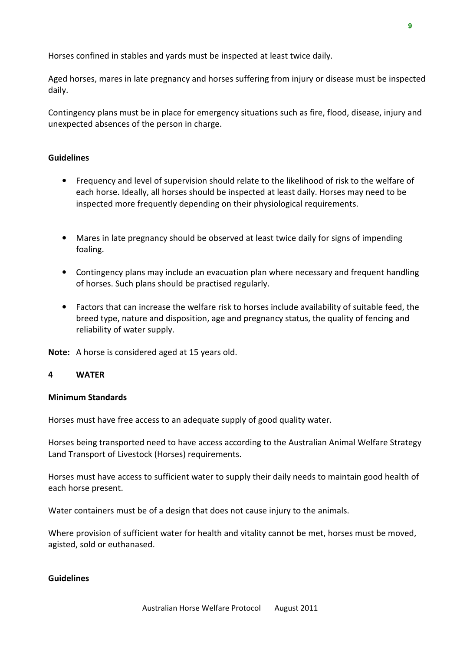Horses confined in stables and yards must be inspected at least twice daily.

Aged horses, mares in late pregnancy and horses suffering from injury or disease must be inspected daily.

Contingency plans must be in place for emergency situations such as fire, flood, disease, injury and unexpected absences of the person in charge.

#### **Guidelines**

- Frequency and level of supervision should relate to the likelihood of risk to the welfare of each horse. Ideally, all horses should be inspected at least daily. Horses may need to be inspected more frequently depending on their physiological requirements.
- Mares in late pregnancy should be observed at least twice daily for signs of impending foaling.
- Contingency plans may include an evacuation plan where necessary and frequent handling of horses. Such plans should be practised regularly.
- Factors that can increase the welfare risk to horses include availability of suitable feed, the breed type, nature and disposition, age and pregnancy status, the quality of fencing and reliability of water supply.

Note: A horse is considered aged at 15 years old.

#### 4 WATER

#### Minimum Standards

Horses must have free access to an adequate supply of good quality water.

Horses being transported need to have access according to the Australian Animal Welfare Strategy Land Transport of Livestock (Horses) requirements.

Horses must have access to sufficient water to supply their daily needs to maintain good health of each horse present.

Water containers must be of a design that does not cause injury to the animals.

Where provision of sufficient water for health and vitality cannot be met, horses must be moved, agisted, sold or euthanased.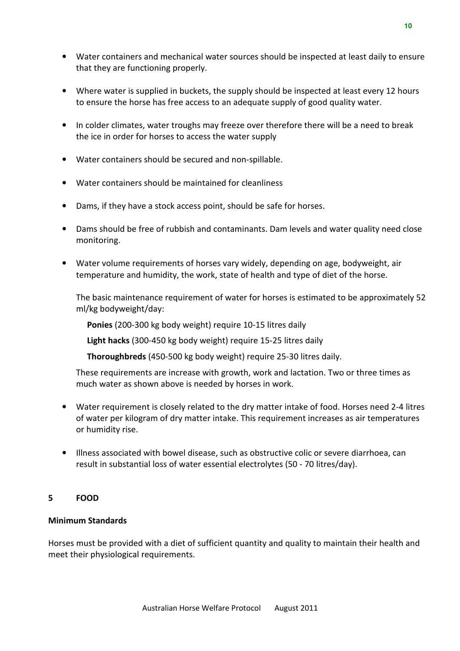- Water containers and mechanical water sources should be inspected at least daily to ensure that they are functioning properly.
- Where water is supplied in buckets, the supply should be inspected at least every 12 hours to ensure the horse has free access to an adequate supply of good quality water.
- In colder climates, water troughs may freeze over therefore there will be a need to break the ice in order for horses to access the water supply
- Water containers should be secured and non-spillable.
- Water containers should be maintained for cleanliness
- Dams, if they have a stock access point, should be safe for horses.
- Dams should be free of rubbish and contaminants. Dam levels and water quality need close monitoring.
- Water volume requirements of horses vary widely, depending on age, bodyweight, air temperature and humidity, the work, state of health and type of diet of the horse.

The basic maintenance requirement of water for horses is estimated to be approximately 52 ml/kg bodyweight/day:

Ponies (200-300 kg body weight) require 10-15 litres daily

Light hacks (300-450 kg body weight) require 15-25 litres daily

Thoroughbreds (450-500 kg body weight) require 25-30 litres daily.

These requirements are increase with growth, work and lactation. Two or three times as much water as shown above is needed by horses in work.

- Water requirement is closely related to the dry matter intake of food. Horses need 2-4 litres of water per kilogram of dry matter intake. This requirement increases as air temperatures or humidity rise.
- Illness associated with bowel disease, such as obstructive colic or severe diarrhoea, can result in substantial loss of water essential electrolytes (50 - 70 litres/day).

#### 5 FOOD

#### Minimum Standards

Horses must be provided with a diet of sufficient quantity and quality to maintain their health and meet their physiological requirements.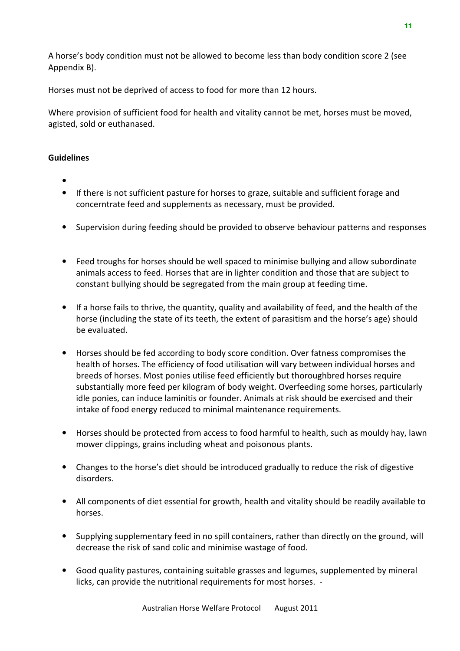Horses must not be deprived of access to food for more than 12 hours.

Where provision of sufficient food for health and vitality cannot be met, horses must be moved, agisted, sold or euthanased.

- •
- If there is not sufficient pasture for horses to graze, suitable and sufficient forage and concerntrate feed and supplements as necessary, must be provided.
- Supervision during feeding should be provided to observe behaviour patterns and responses
- Feed troughs for horses should be well spaced to minimise bullying and allow subordinate animals access to feed. Horses that are in lighter condition and those that are subject to constant bullying should be segregated from the main group at feeding time.
- If a horse fails to thrive, the quantity, quality and availability of feed, and the health of the horse (including the state of its teeth, the extent of parasitism and the horse's age) should be evaluated.
- Horses should be fed according to body score condition. Over fatness compromises the health of horses. The efficiency of food utilisation will vary between individual horses and breeds of horses. Most ponies utilise feed efficiently but thoroughbred horses require substantially more feed per kilogram of body weight. Overfeeding some horses, particularly idle ponies, can induce laminitis or founder. Animals at risk should be exercised and their intake of food energy reduced to minimal maintenance requirements.
- Horses should be protected from access to food harmful to health, such as mouldy hay, lawn mower clippings, grains including wheat and poisonous plants.
- Changes to the horse's diet should be introduced gradually to reduce the risk of digestive disorders.
- All components of diet essential for growth, health and vitality should be readily available to horses.
- Supplying supplementary feed in no spill containers, rather than directly on the ground, will decrease the risk of sand colic and minimise wastage of food.
- Good quality pastures, containing suitable grasses and legumes, supplemented by mineral licks, can provide the nutritional requirements for most horses. -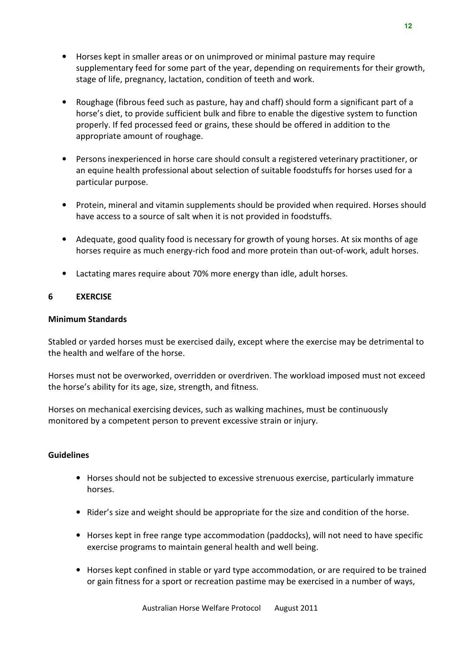- Horses kept in smaller areas or on unimproved or minimal pasture may require supplementary feed for some part of the year, depending on requirements for their growth, stage of life, pregnancy, lactation, condition of teeth and work.
- Roughage (fibrous feed such as pasture, hay and chaff) should form a significant part of a horse's diet, to provide sufficient bulk and fibre to enable the digestive system to function properly. If fed processed feed or grains, these should be offered in addition to the appropriate amount of roughage.
- Persons inexperienced in horse care should consult a registered veterinary practitioner, or an equine health professional about selection of suitable foodstuffs for horses used for a particular purpose.
- Protein, mineral and vitamin supplements should be provided when required. Horses should have access to a source of salt when it is not provided in foodstuffs.
- Adequate, good quality food is necessary for growth of young horses. At six months of age horses require as much energy-rich food and more protein than out-of-work, adult horses.
- Lactating mares require about 70% more energy than idle, adult horses.

#### 6 EXERCISE

#### Minimum Standards

Stabled or yarded horses must be exercised daily, except where the exercise may be detrimental to the health and welfare of the horse.

Horses must not be overworked, overridden or overdriven. The workload imposed must not exceed the horse's ability for its age, size, strength, and fitness.

Horses on mechanical exercising devices, such as walking machines, must be continuously monitored by a competent person to prevent excessive strain or injury.

- Horses should not be subjected to excessive strenuous exercise, particularly immature horses.
- Rider's size and weight should be appropriate for the size and condition of the horse.
- Horses kept in free range type accommodation (paddocks), will not need to have specific exercise programs to maintain general health and well being.
- Horses kept confined in stable or yard type accommodation, or are required to be trained or gain fitness for a sport or recreation pastime may be exercised in a number of ways,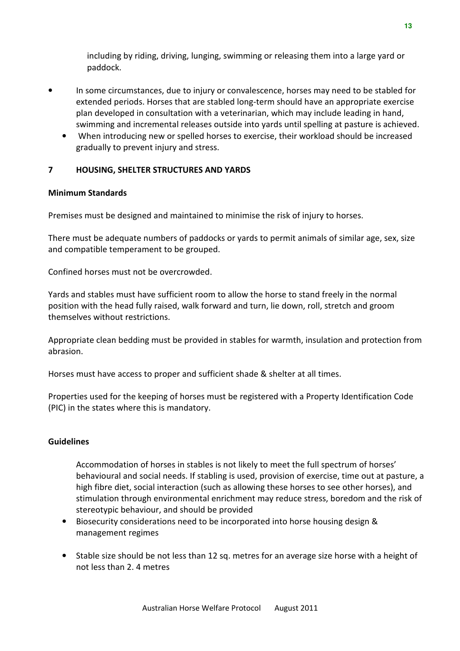including by riding, driving, lunging, swimming or releasing them into a large yard or paddock.

- In some circumstances, due to injury or convalescence, horses may need to be stabled for extended periods. Horses that are stabled long-term should have an appropriate exercise plan developed in consultation with a veterinarian, which may include leading in hand, swimming and incremental releases outside into yards until spelling at pasture is achieved.
	- When introducing new or spelled horses to exercise, their workload should be increased gradually to prevent injury and stress.

#### 7 HOUSING, SHELTER STRUCTURES AND YARDS

#### Minimum Standards

Premises must be designed and maintained to minimise the risk of injury to horses.

There must be adequate numbers of paddocks or yards to permit animals of similar age, sex, size and compatible temperament to be grouped.

Confined horses must not be overcrowded.

Yards and stables must have sufficient room to allow the horse to stand freely in the normal position with the head fully raised, walk forward and turn, lie down, roll, stretch and groom themselves without restrictions.

Appropriate clean bedding must be provided in stables for warmth, insulation and protection from abrasion.

Horses must have access to proper and sufficient shade & shelter at all times.

Properties used for the keeping of horses must be registered with a Property Identification Code (PIC) in the states where this is mandatory.

#### Guidelines

Accommodation of horses in stables is not likely to meet the full spectrum of horses' behavioural and social needs. If stabling is used, provision of exercise, time out at pasture, a high fibre diet, social interaction (such as allowing these horses to see other horses), and stimulation through environmental enrichment may reduce stress, boredom and the risk of stereotypic behaviour, and should be provided

- Biosecurity considerations need to be incorporated into horse housing design & management regimes
- Stable size should be not less than 12 sq. metres for an average size horse with a height of not less than 2. 4 metres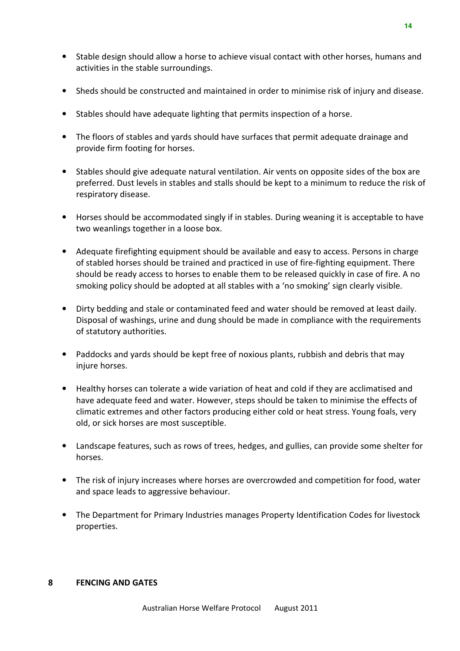**14** 

- Stable design should allow a horse to achieve visual contact with other horses, humans and activities in the stable surroundings.
- Sheds should be constructed and maintained in order to minimise risk of injury and disease.
- Stables should have adequate lighting that permits inspection of a horse.
- The floors of stables and yards should have surfaces that permit adequate drainage and provide firm footing for horses.
- Stables should give adequate natural ventilation. Air vents on opposite sides of the box are preferred. Dust levels in stables and stalls should be kept to a minimum to reduce the risk of respiratory disease.
- Horses should be accommodated singly if in stables. During weaning it is acceptable to have two weanlings together in a loose box.
- Adequate firefighting equipment should be available and easy to access. Persons in charge of stabled horses should be trained and practiced in use of fire-fighting equipment. There should be ready access to horses to enable them to be released quickly in case of fire. A no smoking policy should be adopted at all stables with a 'no smoking' sign clearly visible.
- Dirty bedding and stale or contaminated feed and water should be removed at least daily. Disposal of washings, urine and dung should be made in compliance with the requirements of statutory authorities.
- Paddocks and yards should be kept free of noxious plants, rubbish and debris that may injure horses.
- Healthy horses can tolerate a wide variation of heat and cold if they are acclimatised and have adequate feed and water. However, steps should be taken to minimise the effects of climatic extremes and other factors producing either cold or heat stress. Young foals, very old, or sick horses are most susceptible.
- Landscape features, such as rows of trees, hedges, and gullies, can provide some shelter for horses.
- The risk of injury increases where horses are overcrowded and competition for food, water and space leads to aggressive behaviour.
- The Department for Primary Industries manages Property Identification Codes for livestock properties.

#### 8 FENCING AND GATES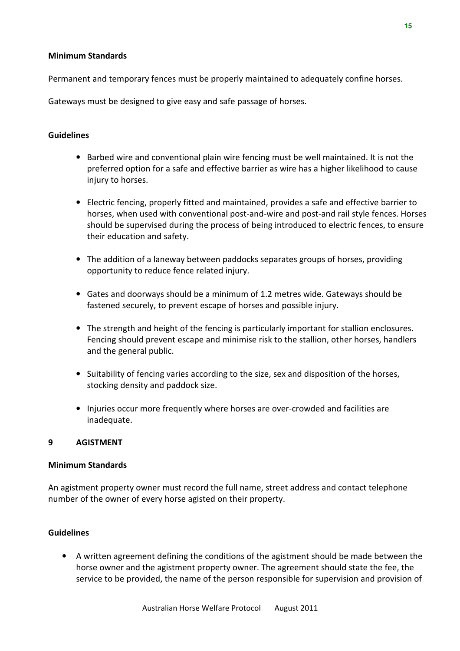#### Minimum Standards

Permanent and temporary fences must be properly maintained to adequately confine horses.

Gateways must be designed to give easy and safe passage of horses.

#### Guidelines

- Barbed wire and conventional plain wire fencing must be well maintained. It is not the preferred option for a safe and effective barrier as wire has a higher likelihood to cause injury to horses.
- Electric fencing, properly fitted and maintained, provides a safe and effective barrier to horses, when used with conventional post-and-wire and post-and rail style fences. Horses should be supervised during the process of being introduced to electric fences, to ensure their education and safety.
- The addition of a laneway between paddocks separates groups of horses, providing opportunity to reduce fence related injury.
- Gates and doorways should be a minimum of 1.2 metres wide. Gateways should be fastened securely, to prevent escape of horses and possible injury.
- The strength and height of the fencing is particularly important for stallion enclosures. Fencing should prevent escape and minimise risk to the stallion, other horses, handlers and the general public.
- Suitability of fencing varies according to the size, sex and disposition of the horses, stocking density and paddock size.
- Injuries occur more frequently where horses are over-crowded and facilities are inadequate.

#### 9 AGISTMENT

#### Minimum Standards

An agistment property owner must record the full name, street address and contact telephone number of the owner of every horse agisted on their property.

#### Guidelines

• A written agreement defining the conditions of the agistment should be made between the horse owner and the agistment property owner. The agreement should state the fee, the service to be provided, the name of the person responsible for supervision and provision of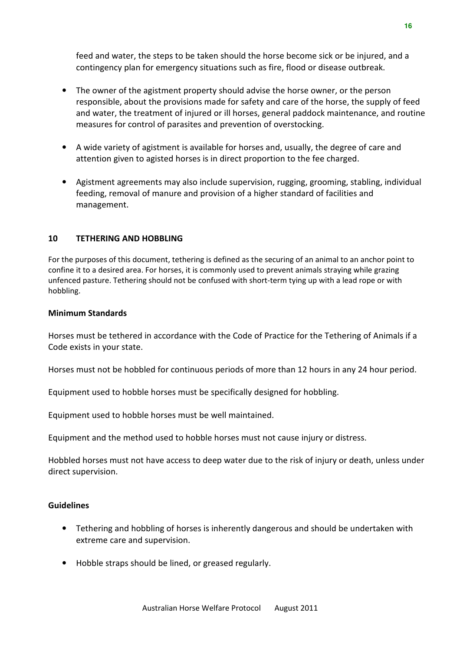feed and water, the steps to be taken should the horse become sick or be injured, and a contingency plan for emergency situations such as fire, flood or disease outbreak.

- The owner of the agistment property should advise the horse owner, or the person responsible, about the provisions made for safety and care of the horse, the supply of feed and water, the treatment of injured or ill horses, general paddock maintenance, and routine measures for control of parasites and prevention of overstocking.
- A wide variety of agistment is available for horses and, usually, the degree of care and attention given to agisted horses is in direct proportion to the fee charged.
- Agistment agreements may also include supervision, rugging, grooming, stabling, individual feeding, removal of manure and provision of a higher standard of facilities and management.

#### 10 TETHERING AND HOBBLING

For the purposes of this document, tethering is defined as the securing of an animal to an anchor point to confine it to a desired area. For horses, it is commonly used to prevent animals straying while grazing unfenced pasture. Tethering should not be confused with short-term tying up with a lead rope or with hobbling.

#### Minimum Standards

Horses must be tethered in accordance with the Code of Practice for the Tethering of Animals if a Code exists in your state.

Horses must not be hobbled for continuous periods of more than 12 hours in any 24 hour period.

Equipment used to hobble horses must be specifically designed for hobbling.

Equipment used to hobble horses must be well maintained.

Equipment and the method used to hobble horses must not cause injury or distress.

Hobbled horses must not have access to deep water due to the risk of injury or death, unless under direct supervision.

- Tethering and hobbling of horses is inherently dangerous and should be undertaken with extreme care and supervision.
- Hobble straps should be lined, or greased regularly.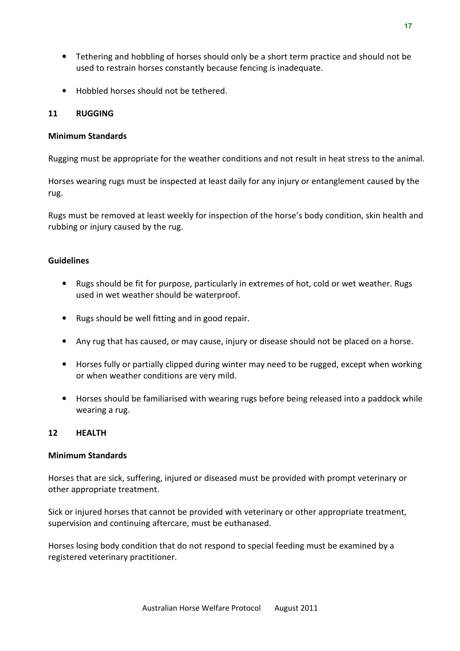- Tethering and hobbling of horses should only be a short term practice and should not be used to restrain horses constantly because fencing is inadequate.
- Hobbled horses should not be tethered.

#### 11 RUGGING

#### Minimum Standards

Rugging must be appropriate for the weather conditions and not result in heat stress to the animal.

Horses wearing rugs must be inspected at least daily for any injury or entanglement caused by the rug.

Rugs must be removed at least weekly for inspection of the horse's body condition, skin health and rubbing or injury caused by the rug.

#### **Guidelines**

- Rugs should be fit for purpose, particularly in extremes of hot, cold or wet weather. Rugs used in wet weather should be waterproof.
- Rugs should be well fitting and in good repair.
- Any rug that has caused, or may cause, injury or disease should not be placed on a horse.
- Horses fully or partially clipped during winter may need to be rugged, except when working or when weather conditions are very mild.
- Horses should be familiarised with wearing rugs before being released into a paddock while wearing a rug.

#### 12 HEALTH

#### Minimum Standards

Horses that are sick, suffering, injured or diseased must be provided with prompt veterinary or other appropriate treatment.

Sick or injured horses that cannot be provided with veterinary or other appropriate treatment, supervision and continuing aftercare, must be euthanased.

Horses losing body condition that do not respond to special feeding must be examined by a registered veterinary practitioner.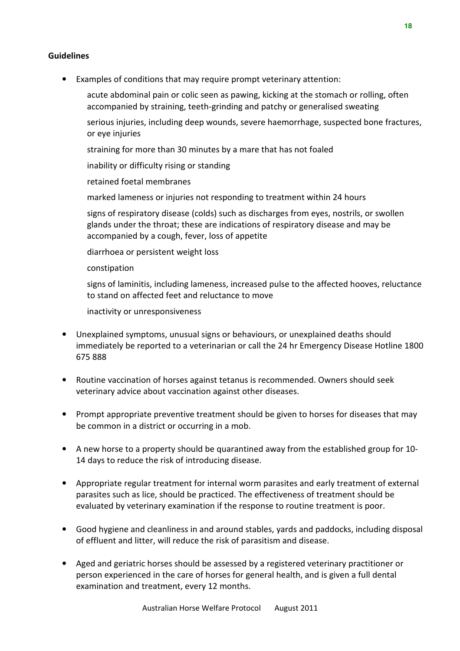#### **Guidelines**

• Examples of conditions that may require prompt veterinary attention:

acute abdominal pain or colic seen as pawing, kicking at the stomach or rolling, often accompanied by straining, teeth-grinding and patchy or generalised sweating

serious injuries, including deep wounds, severe haemorrhage, suspected bone fractures, or eye injuries

straining for more than 30 minutes by a mare that has not foaled

inability or difficulty rising or standing

retained foetal membranes

marked lameness or injuries not responding to treatment within 24 hours

signs of respiratory disease (colds) such as discharges from eyes, nostrils, or swollen glands under the throat; these are indications of respiratory disease and may be accompanied by a cough, fever, loss of appetite

diarrhoea or persistent weight loss

constipation

signs of laminitis, including lameness, increased pulse to the affected hooves, reluctance to stand on affected feet and reluctance to move

inactivity or unresponsiveness

- Unexplained symptoms, unusual signs or behaviours, or unexplained deaths should immediately be reported to a veterinarian or call the 24 hr Emergency Disease Hotline 1800 675 888
- Routine vaccination of horses against tetanus is recommended. Owners should seek veterinary advice about vaccination against other diseases.
- Prompt appropriate preventive treatment should be given to horses for diseases that may be common in a district or occurring in a mob.
- A new horse to a property should be quarantined away from the established group for 10- 14 days to reduce the risk of introducing disease.
- Appropriate regular treatment for internal worm parasites and early treatment of external parasites such as lice, should be practiced. The effectiveness of treatment should be evaluated by veterinary examination if the response to routine treatment is poor.
- Good hygiene and cleanliness in and around stables, yards and paddocks, including disposal of effluent and litter, will reduce the risk of parasitism and disease.
- Aged and geriatric horses should be assessed by a registered veterinary practitioner or person experienced in the care of horses for general health, and is given a full dental examination and treatment, every 12 months.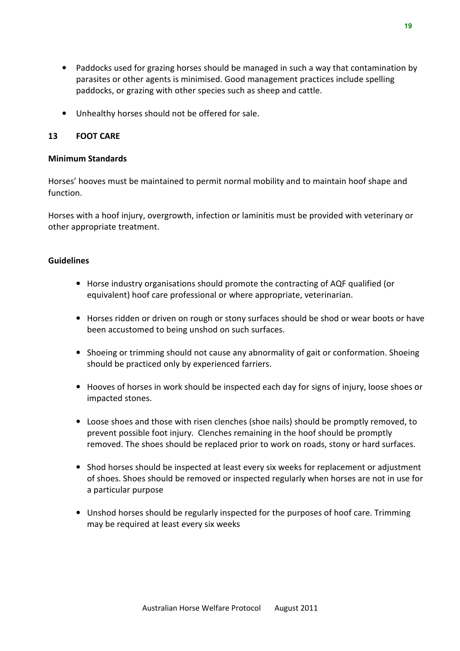- Paddocks used for grazing horses should be managed in such a way that contamination by parasites or other agents is minimised. Good management practices include spelling paddocks, or grazing with other species such as sheep and cattle.
- Unhealthy horses should not be offered for sale.

#### 13 FOOT CARE

#### Minimum Standards

Horses' hooves must be maintained to permit normal mobility and to maintain hoof shape and function.

Horses with a hoof injury, overgrowth, infection or laminitis must be provided with veterinary or other appropriate treatment.

- Horse industry organisations should promote the contracting of AQF qualified (or equivalent) hoof care professional or where appropriate, veterinarian.
- Horses ridden or driven on rough or stony surfaces should be shod or wear boots or have been accustomed to being unshod on such surfaces.
- Shoeing or trimming should not cause any abnormality of gait or conformation. Shoeing should be practiced only by experienced farriers.
- Hooves of horses in work should be inspected each day for signs of injury, loose shoes or impacted stones.
- Loose shoes and those with risen clenches (shoe nails) should be promptly removed, to prevent possible foot injury. Clenches remaining in the hoof should be promptly removed. The shoes should be replaced prior to work on roads, stony or hard surfaces.
- Shod horses should be inspected at least every six weeks for replacement or adjustment of shoes. Shoes should be removed or inspected regularly when horses are not in use for a particular purpose
- Unshod horses should be regularly inspected for the purposes of hoof care. Trimming may be required at least every six weeks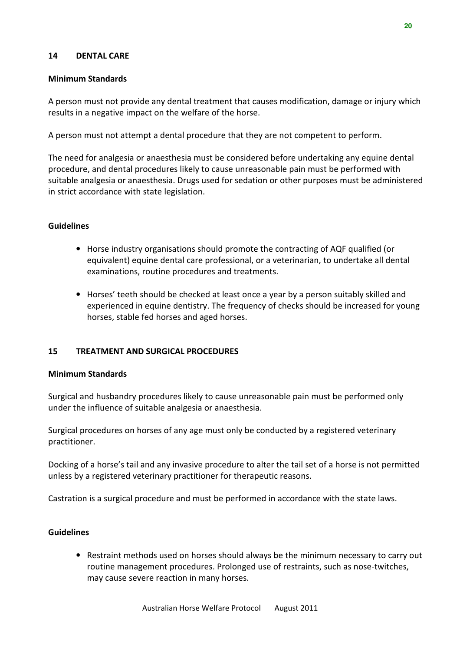#### 14 DENTAL CARE

#### Minimum Standards

A person must not provide any dental treatment that causes modification, damage or injury which results in a negative impact on the welfare of the horse.

A person must not attempt a dental procedure that they are not competent to perform.

The need for analgesia or anaesthesia must be considered before undertaking any equine dental procedure, and dental procedures likely to cause unreasonable pain must be performed with suitable analgesia or anaesthesia. Drugs used for sedation or other purposes must be administered in strict accordance with state legislation.

#### **Guidelines**

- Horse industry organisations should promote the contracting of AQF qualified (or equivalent) equine dental care professional, or a veterinarian, to undertake all dental examinations, routine procedures and treatments.
- Horses' teeth should be checked at least once a year by a person suitably skilled and experienced in equine dentistry. The frequency of checks should be increased for young horses, stable fed horses and aged horses.

#### 15 TREATMENT AND SURGICAL PROCEDURES

#### Minimum Standards

Surgical and husbandry procedures likely to cause unreasonable pain must be performed only under the influence of suitable analgesia or anaesthesia.

Surgical procedures on horses of any age must only be conducted by a registered veterinary practitioner.

Docking of a horse's tail and any invasive procedure to alter the tail set of a horse is not permitted unless by a registered veterinary practitioner for therapeutic reasons.

Castration is a surgical procedure and must be performed in accordance with the state laws.

#### Guidelines

• Restraint methods used on horses should always be the minimum necessary to carry out routine management procedures. Prolonged use of restraints, such as nose-twitches, may cause severe reaction in many horses.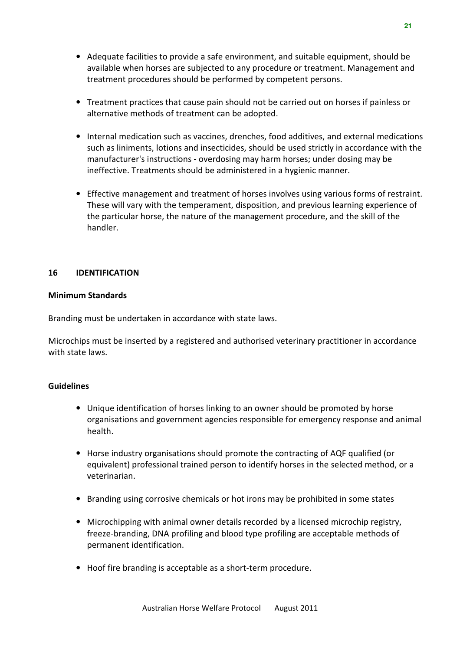- Adequate facilities to provide a safe environment, and suitable equipment, should be available when horses are subjected to any procedure or treatment. Management and treatment procedures should be performed by competent persons.
- Treatment practices that cause pain should not be carried out on horses if painless or alternative methods of treatment can be adopted.
- Internal medication such as vaccines, drenches, food additives, and external medications such as liniments, lotions and insecticides, should be used strictly in accordance with the manufacturer's instructions - overdosing may harm horses; under dosing may be ineffective. Treatments should be administered in a hygienic manner.
- Effective management and treatment of horses involves using various forms of restraint. These will vary with the temperament, disposition, and previous learning experience of the particular horse, the nature of the management procedure, and the skill of the handler.

#### 16 IDENTIFICATION

#### Minimum Standards

Branding must be undertaken in accordance with state laws.

Microchips must be inserted by a registered and authorised veterinary practitioner in accordance with state laws.

- Unique identification of horses linking to an owner should be promoted by horse organisations and government agencies responsible for emergency response and animal health.
- Horse industry organisations should promote the contracting of AQF qualified (or equivalent) professional trained person to identify horses in the selected method, or a veterinarian.
- Branding using corrosive chemicals or hot irons may be prohibited in some states
- Microchipping with animal owner details recorded by a licensed microchip registry, freeze-branding, DNA profiling and blood type profiling are acceptable methods of permanent identification.
- Hoof fire branding is acceptable as a short-term procedure.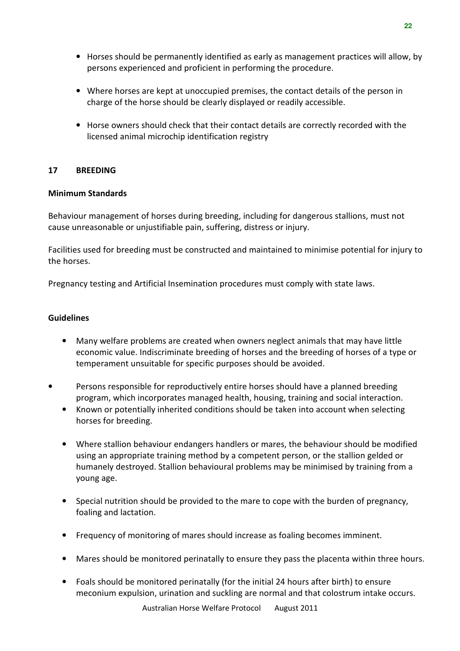- Horses should be permanently identified as early as management practices will allow, by persons experienced and proficient in performing the procedure.
- Where horses are kept at unoccupied premises, the contact details of the person in charge of the horse should be clearly displayed or readily accessible.
- Horse owners should check that their contact details are correctly recorded with the licensed animal microchip identification registry

#### 17 BREEDING

#### Minimum Standards

Behaviour management of horses during breeding, including for dangerous stallions, must not cause unreasonable or unjustifiable pain, suffering, distress or injury.

Facilities used for breeding must be constructed and maintained to minimise potential for injury to the horses.

Pregnancy testing and Artificial Insemination procedures must comply with state laws.

- Many welfare problems are created when owners neglect animals that may have little economic value. Indiscriminate breeding of horses and the breeding of horses of a type or temperament unsuitable for specific purposes should be avoided.
- Persons responsible for reproductively entire horses should have a planned breeding program, which incorporates managed health, housing, training and social interaction.
	- Known or potentially inherited conditions should be taken into account when selecting horses for breeding.
	- Where stallion behaviour endangers handlers or mares, the behaviour should be modified using an appropriate training method by a competent person, or the stallion gelded or humanely destroyed. Stallion behavioural problems may be minimised by training from a young age.
	- Special nutrition should be provided to the mare to cope with the burden of pregnancy, foaling and lactation.
	- Frequency of monitoring of mares should increase as foaling becomes imminent.
	- Mares should be monitored perinatally to ensure they pass the placenta within three hours.
	- Foals should be monitored perinatally (for the initial 24 hours after birth) to ensure meconium expulsion, urination and suckling are normal and that colostrum intake occurs.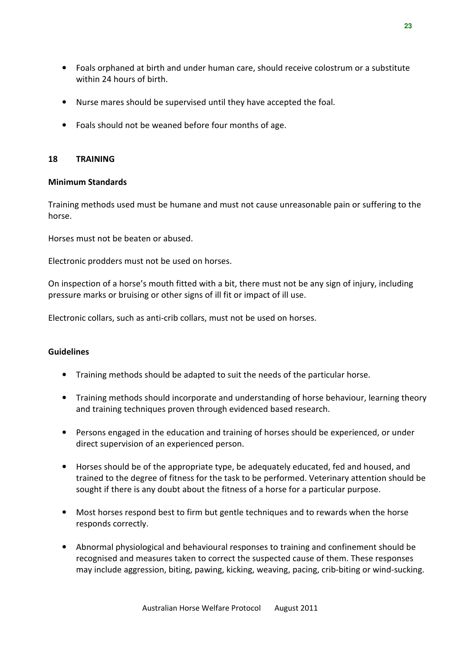- Foals orphaned at birth and under human care, should receive colostrum or a substitute within 24 hours of birth.
- Nurse mares should be supervised until they have accepted the foal.
- Foals should not be weaned before four months of age.

#### 18 TRAINING

#### Minimum Standards

Training methods used must be humane and must not cause unreasonable pain or suffering to the horse.

Horses must not be beaten or abused.

Electronic prodders must not be used on horses.

On inspection of a horse's mouth fitted with a bit, there must not be any sign of injury, including pressure marks or bruising or other signs of ill fit or impact of ill use.

Electronic collars, such as anti-crib collars, must not be used on horses.

- Training methods should be adapted to suit the needs of the particular horse.
- Training methods should incorporate and understanding of horse behaviour, learning theory and training techniques proven through evidenced based research.
- Persons engaged in the education and training of horses should be experienced, or under direct supervision of an experienced person.
- Horses should be of the appropriate type, be adequately educated, fed and housed, and trained to the degree of fitness for the task to be performed. Veterinary attention should be sought if there is any doubt about the fitness of a horse for a particular purpose.
- Most horses respond best to firm but gentle techniques and to rewards when the horse responds correctly.
- Abnormal physiological and behavioural responses to training and confinement should be recognised and measures taken to correct the suspected cause of them. These responses may include aggression, biting, pawing, kicking, weaving, pacing, crib-biting or wind-sucking.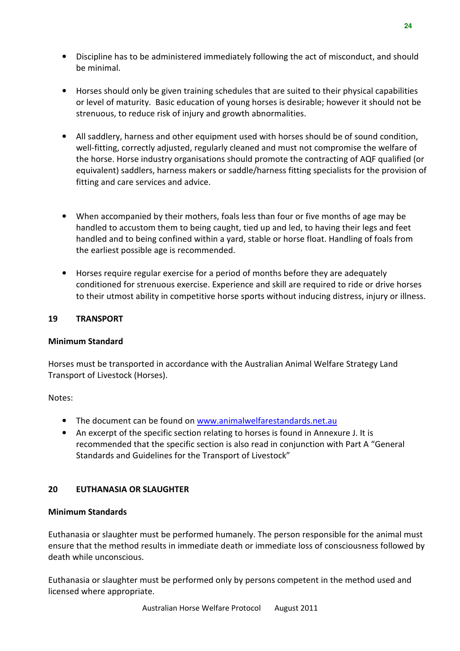- Discipline has to be administered immediately following the act of misconduct, and should be minimal.
- Horses should only be given training schedules that are suited to their physical capabilities or level of maturity. Basic education of young horses is desirable; however it should not be strenuous, to reduce risk of injury and growth abnormalities.
- All saddlery, harness and other equipment used with horses should be of sound condition, well-fitting, correctly adjusted, regularly cleaned and must not compromise the welfare of the horse. Horse industry organisations should promote the contracting of AQF qualified (or equivalent) saddlers, harness makers or saddle/harness fitting specialists for the provision of fitting and care services and advice.
- When accompanied by their mothers, foals less than four or five months of age may be handled to accustom them to being caught, tied up and led, to having their legs and feet handled and to being confined within a yard, stable or horse float. Handling of foals from the earliest possible age is recommended.
- Horses require regular exercise for a period of months before they are adequately conditioned for strenuous exercise. Experience and skill are required to ride or drive horses to their utmost ability in competitive horse sports without inducing distress, injury or illness.

#### 19 TRANSPORT

#### Minimum Standard

Horses must be transported in accordance with the Australian Animal Welfare Strategy Land Transport of Livestock (Horses).

Notes:

- The document can be found on www.animalwelfarestandards.net.au
- An excerpt of the specific section relating to horses is found in Annexure J. It is recommended that the specific section is also read in conjunction with Part A "General Standards and Guidelines for the Transport of Livestock"

#### 20 FUTHANASIA OR SLAUGHTER

#### Minimum Standards

Euthanasia or slaughter must be performed humanely. The person responsible for the animal must ensure that the method results in immediate death or immediate loss of consciousness followed by death while unconscious.

Euthanasia or slaughter must be performed only by persons competent in the method used and licensed where appropriate.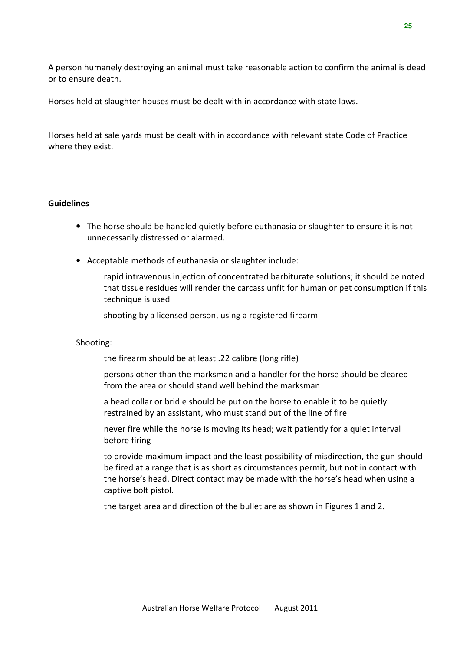A person humanely destroying an animal must take reasonable action to confirm the animal is dead or to ensure death.

Horses held at slaughter houses must be dealt with in accordance with state laws.

Horses held at sale yards must be dealt with in accordance with relevant state Code of Practice where they exist.

#### Guidelines

- The horse should be handled quietly before euthanasia or slaughter to ensure it is not unnecessarily distressed or alarmed.
- Acceptable methods of euthanasia or slaughter include:

rapid intravenous injection of concentrated barbiturate solutions; it should be noted that tissue residues will render the carcass unfit for human or pet consumption if this technique is used

shooting by a licensed person, using a registered firearm

#### Shooting:

the firearm should be at least .22 calibre (long rifle)

persons other than the marksman and a handler for the horse should be cleared from the area or should stand well behind the marksman

a head collar or bridle should be put on the horse to enable it to be quietly restrained by an assistant, who must stand out of the line of fire

never fire while the horse is moving its head; wait patiently for a quiet interval before firing

to provide maximum impact and the least possibility of misdirection, the gun should be fired at a range that is as short as circumstances permit, but not in contact with the horse's head. Direct contact may be made with the horse's head when using a captive bolt pistol.

the target area and direction of the bullet are as shown in Figures 1 and 2.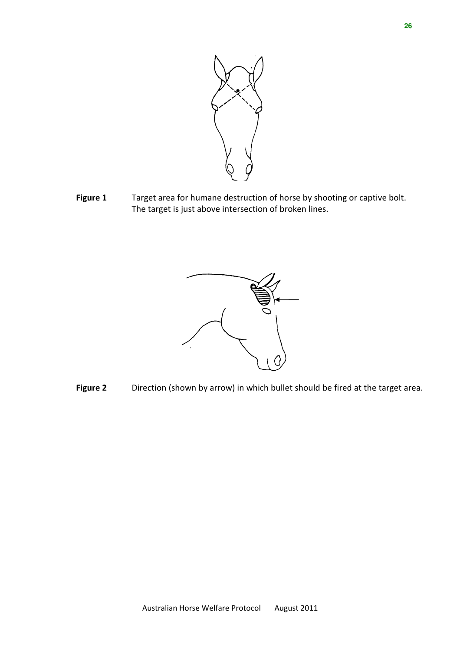

Figure 1 Target area for humane destruction of horse by shooting or captive bolt. The target is just above intersection of broken lines.



Figure 2 Direction (shown by arrow) in which bullet should be fired at the target area.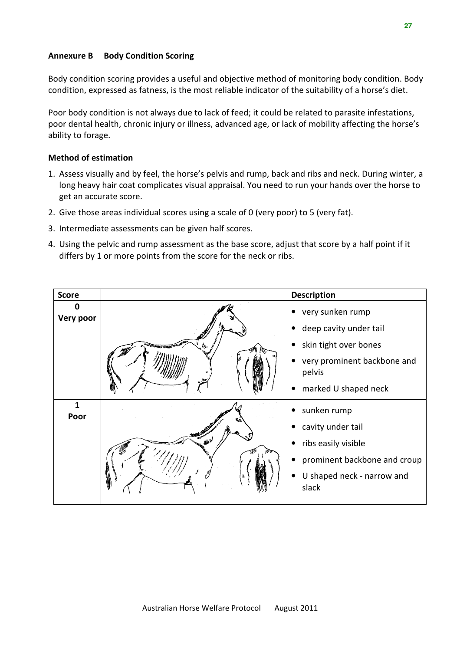#### Annexure B Body Condition Scoring

Body condition scoring provides a useful and objective method of monitoring body condition. Body condition, expressed as fatness, is the most reliable indicator of the suitability of a horse's diet.

Poor body condition is not always due to lack of feed; it could be related to parasite infestations, poor dental health, chronic injury or illness, advanced age, or lack of mobility affecting the horse's ability to forage.

#### Method of estimation

- 1. Assess visually and by feel, the horse's pelvis and rump, back and ribs and neck. During winter, a long heavy hair coat complicates visual appraisal. You need to run your hands over the horse to get an accurate score.
- 2. Give those areas individual scores using a scale of 0 (very poor) to 5 (very fat).
- 3. Intermediate assessments can be given half scores.
- 4. Using the pelvic and rump assessment as the base score, adjust that score by a half point if it differs by 1 or more points from the score for the neck or ribs.

| <b>Score</b>   |                                        | <b>Description</b>                    |
|----------------|----------------------------------------|---------------------------------------|
| Ω<br>Very poor |                                        | very sunken rump                      |
|                |                                        | deep cavity under tail                |
|                | <b><i><u>Angelin mithelige</u></i></b> | skin tight over bones                 |
|                |                                        | very prominent backbone and<br>pelvis |
|                |                                        | marked U shaped neck                  |
| 1<br>Poor      |                                        | sunken rump                           |
|                |                                        | cavity under tail                     |
|                |                                        | ribs easily visible                   |
|                |                                        | prominent backbone and croup          |
|                |                                        | U shaped neck - narrow and<br>slack   |
|                |                                        |                                       |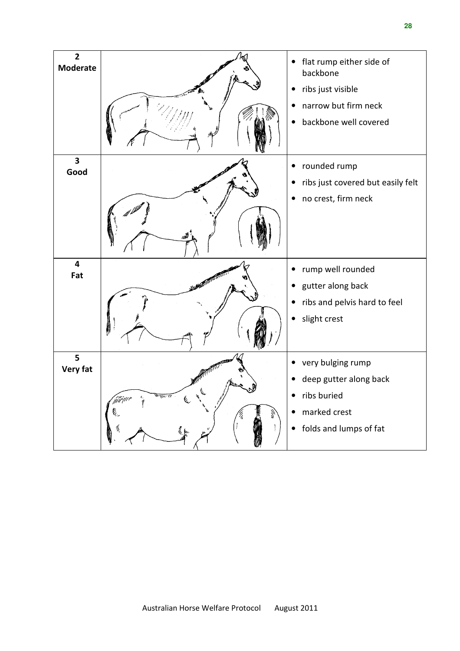| $\overline{2}$<br><b>Moderate</b> |    | $\bullet$ | flat rump either side of<br>backbone        |
|-----------------------------------|----|-----------|---------------------------------------------|
|                                   |    |           | ribs just visible                           |
|                                   |    |           | narrow but firm neck                        |
|                                   |    |           | backbone well covered                       |
| $\overline{\mathbf{3}}$<br>Good   |    | $\bullet$ | rounded rump                                |
|                                   |    |           | ribs just covered but easily felt           |
|                                   |    |           | no crest, firm neck                         |
|                                   |    |           |                                             |
| $\overline{\mathbf{4}}$<br>Fat    |    |           | rump well rounded                           |
|                                   |    |           | gutter along back                           |
|                                   |    |           | ribs and pelvis hard to feel                |
|                                   |    | $\bullet$ | slight crest                                |
| 5                                 |    | $\bullet$ |                                             |
| <b>Very fat</b>                   |    |           | very bulging rump<br>deep gutter along back |
|                                   |    |           | ribs buried                                 |
|                                   | ٤. | $\bullet$ | marked crest                                |
|                                   |    | $\bullet$ | folds and lumps of fat                      |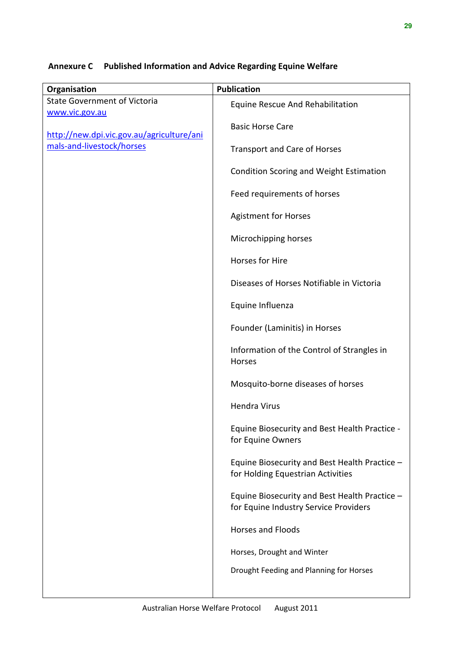### Annexure C Published Information and Advice Regarding Equine Welfare

| Organisation                                          | <b>Publication</b>                                                                     |
|-------------------------------------------------------|----------------------------------------------------------------------------------------|
| <b>State Government of Victoria</b><br>www.vic.gov.au | Equine Rescue And Rehabilitation                                                       |
| http://new.dpi.vic.gov.au/agriculture/ani             | <b>Basic Horse Care</b>                                                                |
| mals-and-livestock/horses                             | <b>Transport and Care of Horses</b>                                                    |
|                                                       | <b>Condition Scoring and Weight Estimation</b>                                         |
|                                                       | Feed requirements of horses                                                            |
|                                                       | <b>Agistment for Horses</b>                                                            |
|                                                       | Microchipping horses                                                                   |
|                                                       | Horses for Hire                                                                        |
|                                                       | Diseases of Horses Notifiable in Victoria                                              |
|                                                       | Equine Influenza                                                                       |
|                                                       | Founder (Laminitis) in Horses                                                          |
|                                                       | Information of the Control of Strangles in<br>Horses                                   |
|                                                       | Mosquito-borne diseases of horses                                                      |
|                                                       | <b>Hendra Virus</b>                                                                    |
|                                                       | Equine Biosecurity and Best Health Practice<br>for Equine Owners                       |
|                                                       | Equine Biosecurity and Best Health Practice -<br>for Holding Equestrian Activities     |
|                                                       | Equine Biosecurity and Best Health Practice -<br>for Equine Industry Service Providers |
|                                                       | <b>Horses and Floods</b>                                                               |
|                                                       | Horses, Drought and Winter                                                             |
|                                                       | Drought Feeding and Planning for Horses                                                |
|                                                       |                                                                                        |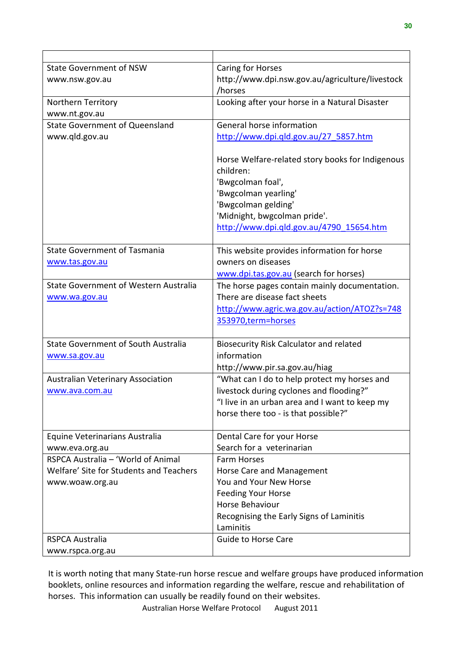| <b>State Government of NSW</b>               | Caring for Horses                                             |
|----------------------------------------------|---------------------------------------------------------------|
| www.nsw.gov.au                               | http://www.dpi.nsw.gov.au/agriculture/livestock               |
|                                              | /horses                                                       |
| Northern Territory                           | Looking after your horse in a Natural Disaster                |
| www.nt.gov.au                                |                                                               |
| <b>State Government of Queensland</b>        | General horse information                                     |
| www.qld.gov.au                               | http://www.dpi.qld.gov.au/27 5857.htm                         |
|                                              |                                                               |
|                                              | Horse Welfare-related story books for Indigenous              |
|                                              | children:                                                     |
|                                              | 'Bwgcolman foal',                                             |
|                                              | 'Bwgcolman yearling'                                          |
|                                              | 'Bwgcolman gelding'                                           |
|                                              | 'Midnight, bwgcolman pride'.                                  |
|                                              | http://www.dpi.qld.gov.au/4790 15654.htm                      |
|                                              |                                                               |
| <b>State Government of Tasmania</b>          | This website provides information for horse                   |
| www.tas.gov.au                               | owners on diseases                                            |
|                                              | www.dpi.tas.gov.au (search for horses)                        |
| <b>State Government of Western Australia</b> | The horse pages contain mainly documentation.                 |
| www.wa.gov.au                                | There are disease fact sheets                                 |
|                                              | http://www.agric.wa.gov.au/action/ATOZ?s=748                  |
|                                              | 353970, term=horses                                           |
| <b>State Government of South Australia</b>   |                                                               |
|                                              | <b>Biosecurity Risk Calculator and related</b><br>information |
| www.sa.gov.au                                |                                                               |
|                                              | http://www.pir.sa.gov.au/hiag                                 |
| <b>Australian Veterinary Association</b>     | "What can I do to help protect my horses and                  |
| www.ava.com.au                               | livestock during cyclones and flooding?"                      |
|                                              | "I live in an urban area and I want to keep my                |
|                                              | horse there too - is that possible?"                          |
| Equine Veterinarians Australia               | Dental Care for your Horse                                    |
| www.eva.org.au                               | Search for a veterinarian                                     |
| RSPCA Australia - 'World of Animal           | <b>Farm Horses</b>                                            |
| Welfare' Site for Students and Teachers      | Horse Care and Management                                     |
| www.woaw.org.au                              | You and Your New Horse                                        |
|                                              | <b>Feeding Your Horse</b>                                     |
|                                              | Horse Behaviour                                               |
|                                              | Recognising the Early Signs of Laminitis                      |
|                                              | Laminitis                                                     |
| <b>RSPCA Australia</b>                       | <b>Guide to Horse Care</b>                                    |
| www.rspca.org.au                             |                                                               |

It is worth noting that many State-run horse rescue and welfare groups have produced information booklets, online resources and information regarding the welfare, rescue and rehabilitation of horses. This information can usually be readily found on their websites.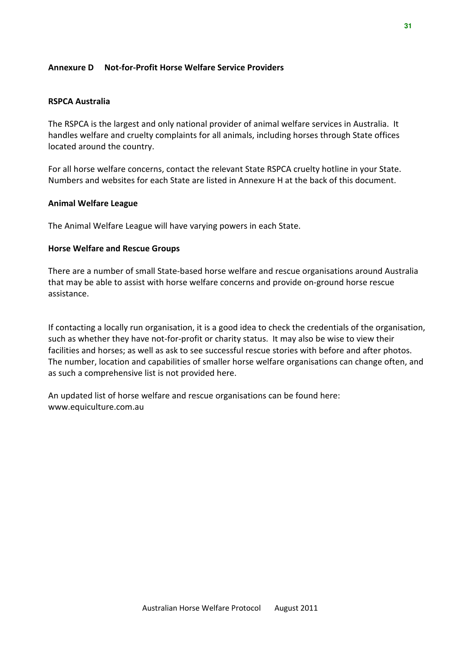#### Annexure D Not-for-Profit Horse Welfare Service Providers

#### RSPCA Australia

The RSPCA is the largest and only national provider of animal welfare services in Australia. It handles welfare and cruelty complaints for all animals, including horses through State offices located around the country.

For all horse welfare concerns, contact the relevant State RSPCA cruelty hotline in your State. Numbers and websites for each State are listed in Annexure H at the back of this document.

#### Animal Welfare League

The Animal Welfare League will have varying powers in each State.

#### Horse Welfare and Rescue Groups

There are a number of small State-based horse welfare and rescue organisations around Australia that may be able to assist with horse welfare concerns and provide on-ground horse rescue assistance.

If contacting a locally run organisation, it is a good idea to check the credentials of the organisation, such as whether they have not-for-profit or charity status. It may also be wise to view their facilities and horses; as well as ask to see successful rescue stories with before and after photos. The number, location and capabilities of smaller horse welfare organisations can change often, and as such a comprehensive list is not provided here.

An updated list of horse welfare and rescue organisations can be found here: www.equiculture.com.au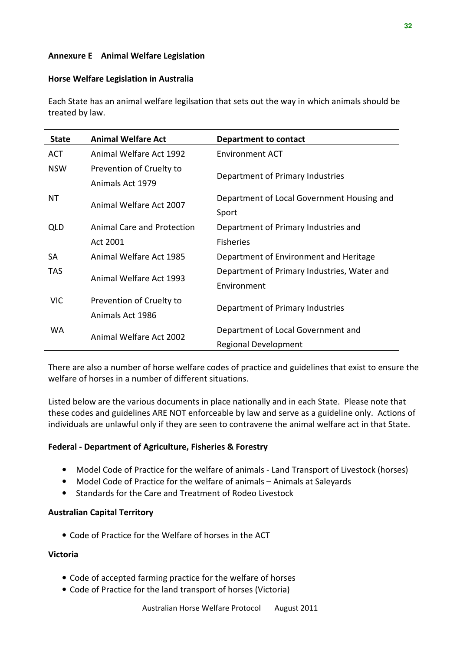#### Annexure E Animal Welfare Legislation

#### Horse Welfare Legislation in Australia

Each State has an animal welfare legilsation that sets out the way in which animals should be treated by law.

| <b>State</b>            | <b>Animal Welfare Act</b>         | Department to contact                       |
|-------------------------|-----------------------------------|---------------------------------------------|
| ACT                     | Animal Welfare Act 1992           | Environment ACT                             |
| <b>NSW</b>              | Prevention of Cruelty to          |                                             |
|                         | Animals Act 1979                  | Department of Primary Industries            |
| ΝT                      |                                   | Department of Local Government Housing and  |
|                         | Animal Welfare Act 2007           | Sport                                       |
| <b>QLD</b>              | <b>Animal Care and Protection</b> | Department of Primary Industries and        |
|                         | Act 2001                          | <b>Fisheries</b>                            |
| <b>SA</b>               | Animal Welfare Act 1985           | Department of Environment and Heritage      |
| TAS.                    |                                   | Department of Primary Industries, Water and |
|                         | Animal Welfare Act 1993           | Environment                                 |
| <b>VIC</b>              | Prevention of Cruelty to          |                                             |
|                         | Animals Act 1986                  | Department of Primary Industries            |
| <b>WA</b>               |                                   | Department of Local Government and          |
| Animal Welfare Act 2002 |                                   | <b>Regional Development</b>                 |

There are also a number of horse welfare codes of practice and guidelines that exist to ensure the welfare of horses in a number of different situations.

Listed below are the various documents in place nationally and in each State. Please note that these codes and guidelines ARE NOT enforceable by law and serve as a guideline only. Actions of individuals are unlawful only if they are seen to contravene the animal welfare act in that State.

#### Federal - Department of Agriculture, Fisheries & Forestry

- Model Code of Practice for the welfare of animals Land Transport of Livestock (horses)
- Model Code of Practice for the welfare of animals Animals at Saleyards
- Standards for the Care and Treatment of Rodeo Livestock

#### Australian Capital Territory

• Code of Practice for the Welfare of horses in the ACT

#### Victoria

- Code of accepted farming practice for the welfare of horses
- Code of Practice for the land transport of horses (Victoria)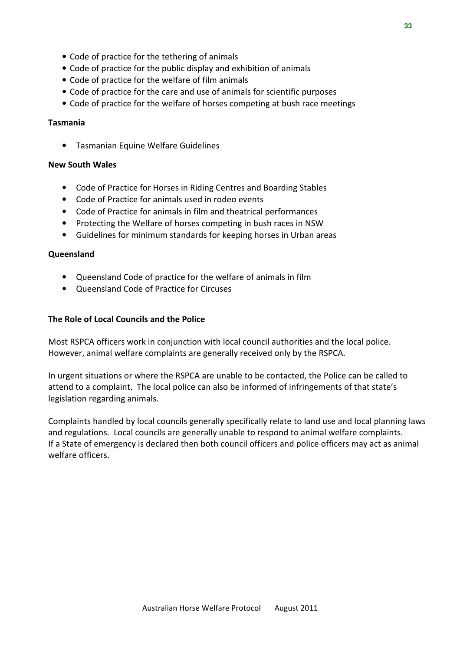- Code of practice for the tethering of animals
- Code of practice for the public display and exhibition of animals
- Code of practice for the welfare of film animals
- Code of practice for the care and use of animals for scientific purposes
- Code of practice for the welfare of horses competing at bush race meetings

#### Tasmania

• Tasmanian Equine Welfare Guidelines

#### New South Wales

- Code of Practice for Horses in Riding Centres and Boarding Stables
- Code of Practice for animals used in rodeo events
- Code of Practice for animals in film and theatrical performances
- Protecting the Welfare of horses competing in bush races in NSW
- Guidelines for minimum standards for keeping horses in Urban areas

#### **Oueensland**

- Queensland Code of practice for the welfare of animals in film
- Queensland Code of Practice for Circuses

#### The Role of Local Councils and the Police

Most RSPCA officers work in conjunction with local council authorities and the local police. However, animal welfare complaints are generally received only by the RSPCA.

In urgent situations or where the RSPCA are unable to be contacted, the Police can be called to attend to a complaint. The local police can also be informed of infringements of that state's legislation regarding animals.

Complaints handled by local councils generally specifically relate to land use and local planning laws and regulations. Local councils are generally unable to respond to animal welfare complaints. If a State of emergency is declared then both council officers and police officers may act as animal welfare officers.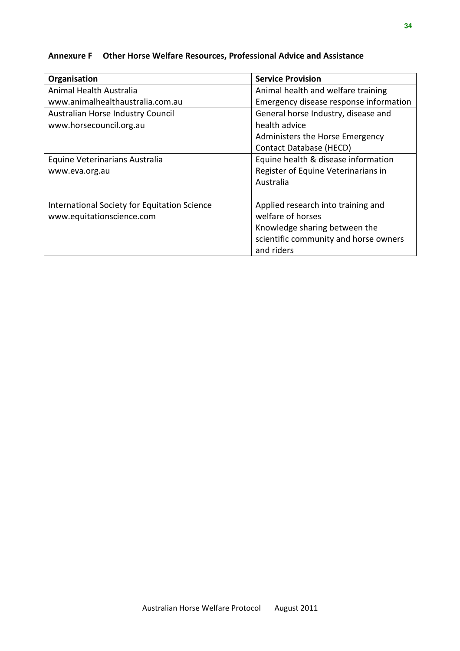#### Annexure F Other Horse Welfare Resources, Professional Advice and Assistance

| Organisation                                 | <b>Service Provision</b>               |
|----------------------------------------------|----------------------------------------|
| Animal Health Australia                      | Animal health and welfare training     |
| www.animalhealthaustralia.com.au             | Emergency disease response information |
| Australian Horse Industry Council            | General horse Industry, disease and    |
| www.horsecouncil.org.au                      | health advice                          |
|                                              | Administers the Horse Emergency        |
|                                              | Contact Database (HECD)                |
| Equine Veterinarians Australia               | Equine health & disease information    |
| www.eva.org.au                               | Register of Equine Veterinarians in    |
|                                              | Australia                              |
|                                              |                                        |
| International Society for Equitation Science | Applied research into training and     |
| www.equitationscience.com                    | welfare of horses                      |
|                                              | Knowledge sharing between the          |
|                                              | scientific community and horse owners  |
|                                              | and riders                             |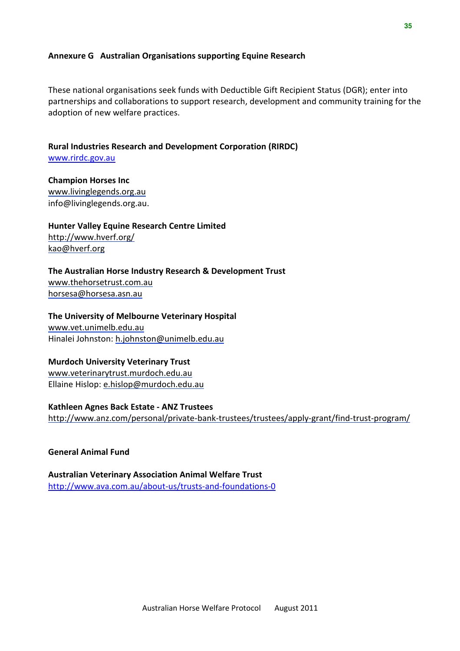#### Annexure G Australian Organisations supporting Equine Research

These national organisations seek funds with Deductible Gift Recipient Status (DGR); enter into partnerships and collaborations to support research, development and community training for the adoption of new welfare practices.

Rural Industries Research and Development Corporation (RIRDC) www.rirdc.gov.au

Champion Horses Inc www.livinglegends.org.au info@livinglegends.org.au.

Hunter Valley Equine Research Centre Limited http://www.hverf.org/ kao@hverf.org

The Australian Horse Industry Research & Development Trust www.thehorsetrust.com.au horsesa@horsesa.asn.au

The University of Melbourne Veterinary Hospital www.vet.unimelb.edu.au Hinalei Johnston: h.johnston@unimelb.edu.au

Murdoch University Veterinary Trust www.veterinarytrust.murdoch.edu.au Ellaine Hislop: e.hislop@murdoch.edu.au

Kathleen Agnes Back Estate - ANZ Trustees http://www.anz.com/personal/private-bank-trustees/trustees/apply-grant/find-trust-program/

General Animal Fund

Australian Veterinary Association Animal Welfare Trust http://www.ava.com.au/about-us/trusts-and-foundations-0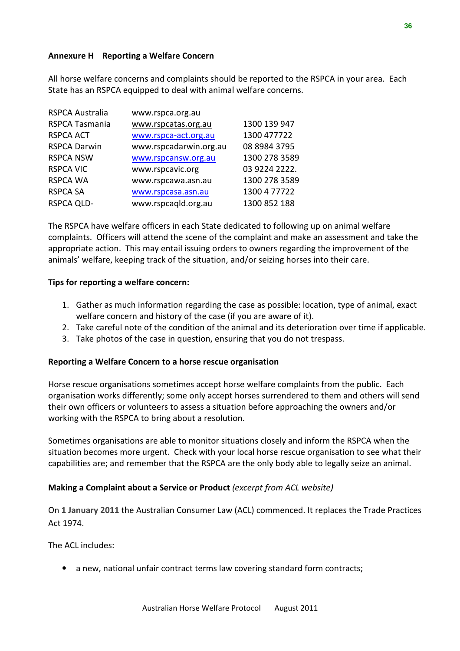#### Annexure H Reporting a Welfare Concern

All horse welfare concerns and complaints should be reported to the RSPCA in your area. Each State has an RSPCA equipped to deal with animal welfare concerns.

| www.rspca.org.au       |               |
|------------------------|---------------|
| www.rspcatas.org.au    | 1300 139 947  |
| www.rspca-act.org.au   | 1300 477722   |
| www.rspcadarwin.org.au | 08 8984 3795  |
| www.rspcansw.org.au    | 1300 278 3589 |
| www.rspcavic.org       | 03 9224 2222. |
| www.rspcawa.asn.au     | 1300 278 3589 |
| www.rspcasa.asn.au     | 1300 4 77722  |
| www.rspcaqld.org.au    | 1300 852 188  |
|                        |               |

The RSPCA have welfare officers in each State dedicated to following up on animal welfare complaints. Officers will attend the scene of the complaint and make an assessment and take the appropriate action. This may entail issuing orders to owners regarding the improvement of the animals' welfare, keeping track of the situation, and/or seizing horses into their care.

#### Tips for reporting a welfare concern:

- 1. Gather as much information regarding the case as possible: location, type of animal, exact welfare concern and history of the case (if you are aware of it).
- 2. Take careful note of the condition of the animal and its deterioration over time if applicable.
- 3. Take photos of the case in question, ensuring that you do not trespass.

#### Reporting a Welfare Concern to a horse rescue organisation

Horse rescue organisations sometimes accept horse welfare complaints from the public. Each organisation works differently; some only accept horses surrendered to them and others will send their own officers or volunteers to assess a situation before approaching the owners and/or working with the RSPCA to bring about a resolution.

Sometimes organisations are able to monitor situations closely and inform the RSPCA when the situation becomes more urgent. Check with your local horse rescue organisation to see what their capabilities are; and remember that the RSPCA are the only body able to legally seize an animal.

#### Making a Complaint about a Service or Product (excerpt from ACL website)

On 1 January 2011 the Australian Consumer Law (ACL) commenced. It replaces the Trade Practices Act 1974.

The ACL includes:

• a new, national unfair contract terms law covering standard form contracts;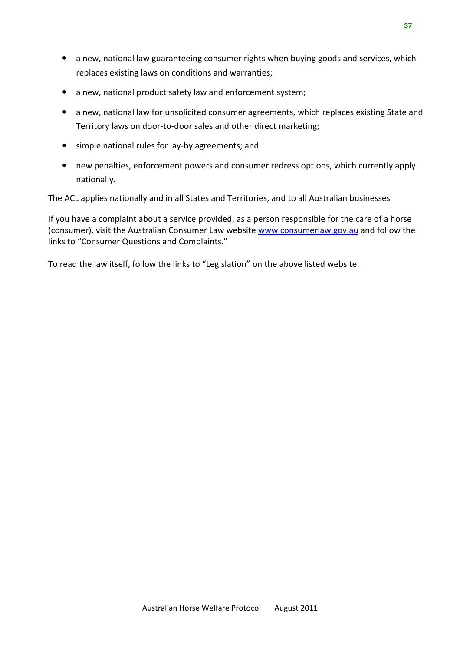- a new, national law guaranteeing consumer rights when buying goods and services, which replaces existing laws on conditions and warranties;
- a new, national product safety law and enforcement system;
- a new, national law for unsolicited consumer agreements, which replaces existing State and Territory laws on door-to-door sales and other direct marketing;
- simple national rules for lay-by agreements; and
- new penalties, enforcement powers and consumer redress options, which currently apply nationally.

The ACL applies nationally and in all States and Territories, and to all Australian businesses

If you have a complaint about a service provided, as a person responsible for the care of a horse (consumer), visit the Australian Consumer Law website www.consumerlaw.gov.au and follow the links to "Consumer Questions and Complaints."

To read the law itself, follow the links to "Legislation" on the above listed website.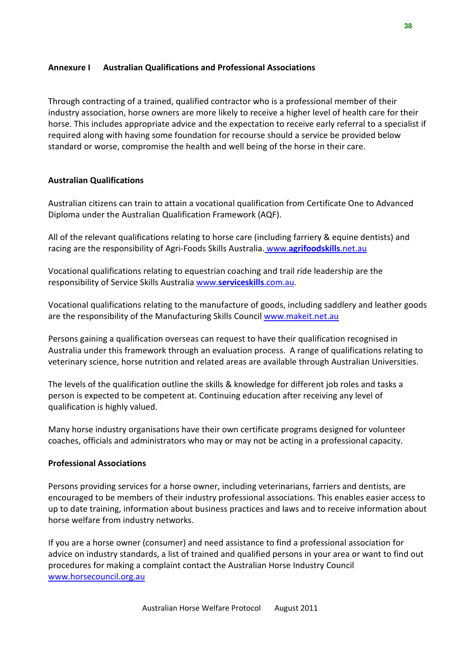#### Annexure I Australian Qualifications and Professional Associations

Through contracting of a trained, qualified contractor who is a professional member of their industry association, horse owners are more likely to receive a higher level of health care for their horse. This includes appropriate advice and the expectation to receive early referral to a specialist if required along with having some foundation for recourse should a service be provided below standard or worse, compromise the health and well being of the horse in their care.

#### Australian Qualifications

Australian citizens can train to attain a vocational qualification from Certificate One to Advanced Diploma under the Australian Qualification Framework (AQF).

All of the relevant qualifications relating to horse care (including farriery & equine dentists) and racing are the responsibility of Agri-Foods Skills Australia. www.agrifoodskills.net.au

Vocational qualifications relating to equestrian coaching and trail ride leadership are the responsibility of Service Skills Australia www.serviceskills.com.au.

Vocational qualifications relating to the manufacture of goods, including saddlery and leather goods are the responsibility of the Manufacturing Skills Council www.makeit.net.au

Persons gaining a qualification overseas can request to have their qualification recognised in Australia under this framework through an evaluation process. A range of qualifications relating to veterinary science, horse nutrition and related areas are available through Australian Universities.

The levels of the qualification outline the skills & knowledge for different job roles and tasks a person is expected to be competent at. Continuing education after receiving any level of qualification is highly valued.

Many horse industry organisations have their own certificate programs designed for volunteer coaches, officials and administrators who may or may not be acting in a professional capacity.

#### Professional Associations

Persons providing services for a horse owner, including veterinarians, farriers and dentists, are encouraged to be members of their industry professional associations. This enables easier access to up to date training, information about business practices and laws and to receive information about horse welfare from industry networks.

If you are a horse owner (consumer) and need assistance to find a professional association for advice on industry standards, a list of trained and qualified persons in your area or want to find out procedures for making a complaint contact the Australian Horse Industry Council www.horsecouncil.org.au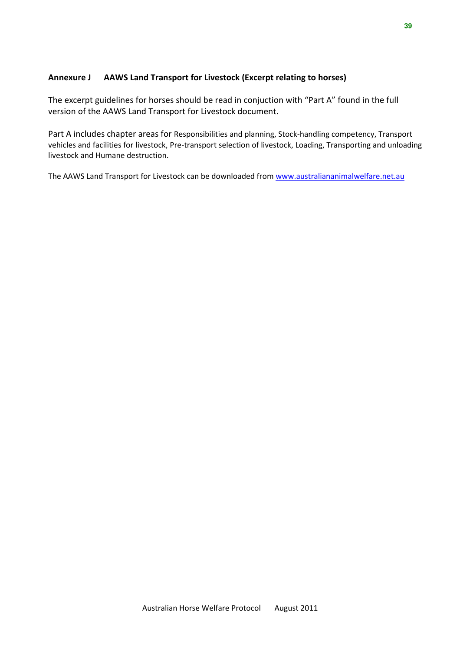#### Annexure J AAWS Land Transport for Livestock (Excerpt relating to horses)

The excerpt guidelines for horses should be read in conjuction with "Part A" found in the full version of the AAWS Land Transport for Livestock document.

Part A includes chapter areas for Responsibilities and planning, Stock-handling competency, Transport vehicles and facilities for livestock, Pre-transport selection of livestock, Loading, Transporting and unloading livestock and Humane destruction.

The AAWS Land Transport for Livestock can be downloaded from www.australiananimalwelfare.net.au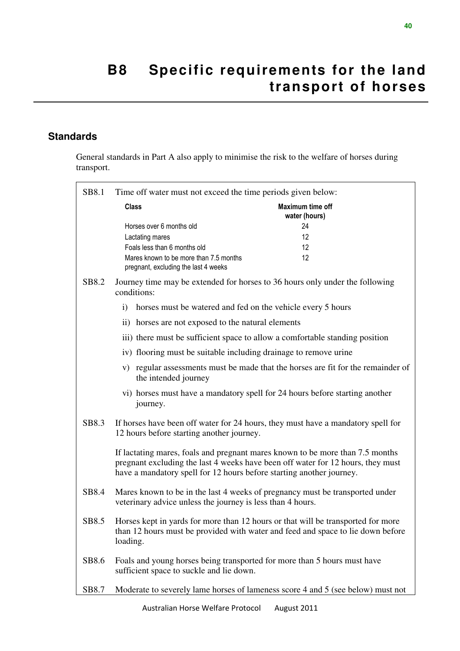## **B8 Specific requirements for the land transport of horses**

### **Standards**

General standards in Part A also apply to minimise the risk to the welfare of horses during transport.

| SB8.1 | Time off water must not exceed the time periods given below:                                                                                                                                                                             |                                   |
|-------|------------------------------------------------------------------------------------------------------------------------------------------------------------------------------------------------------------------------------------------|-----------------------------------|
|       | <b>Class</b>                                                                                                                                                                                                                             | Maximum time off<br>water (hours) |
|       | Horses over 6 months old<br>Lactating mares<br>Foals less than 6 months old<br>Mares known to be more than 7.5 months<br>pregnant, excluding the last 4 weeks                                                                            | 24<br>12<br>12<br>12              |
| SB8.2 | Journey time may be extended for horses to 36 hours only under the following<br>conditions:                                                                                                                                              |                                   |
|       | horses must be watered and fed on the vehicle every 5 hours<br>$\mathbf{i}$                                                                                                                                                              |                                   |
|       | ii) horses are not exposed to the natural elements                                                                                                                                                                                       |                                   |
|       | iii) there must be sufficient space to allow a comfortable standing position                                                                                                                                                             |                                   |
|       | iv) flooring must be suitable including drainage to remove urine                                                                                                                                                                         |                                   |
|       | v) regular assessments must be made that the horses are fit for the remainder of<br>the intended journey                                                                                                                                 |                                   |
|       | vi) horses must have a mandatory spell for 24 hours before starting another<br>journey.                                                                                                                                                  |                                   |
| SB8.3 | If horses have been off water for 24 hours, they must have a mandatory spell for<br>12 hours before starting another journey.                                                                                                            |                                   |
|       | If lactating mares, foals and pregnant mares known to be more than 7.5 months<br>pregnant excluding the last 4 weeks have been off water for 12 hours, they must<br>have a mandatory spell for 12 hours before starting another journey. |                                   |
| SB8.4 | Mares known to be in the last 4 weeks of pregnancy must be transported under<br>veterinary advice unless the journey is less than 4 hours.                                                                                               |                                   |
| SB8.5 | Horses kept in yards for more than 12 hours or that will be transported for more<br>than 12 hours must be provided with water and feed and space to lie down before<br>loading.                                                          |                                   |
| SB8.6 | Foals and young horses being transported for more than 5 hours must have<br>sufficient space to suckle and lie down.                                                                                                                     |                                   |
| SB8.7 | Moderate to severely lame horses of lameness score 4 and 5 (see below) must not                                                                                                                                                          |                                   |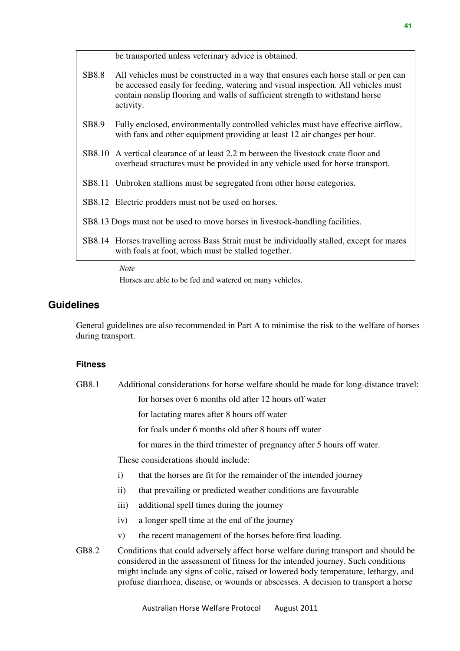|       | be transported unless veterinary advice is obtained.                                                                                                                                                                                                                 |
|-------|----------------------------------------------------------------------------------------------------------------------------------------------------------------------------------------------------------------------------------------------------------------------|
| SB8.8 | All vehicles must be constructed in a way that ensures each horse stall or pen can<br>be accessed easily for feeding, watering and visual inspection. All vehicles must<br>contain nonslip flooring and walls of sufficient strength to withstand horse<br>activity. |
| SB8.9 | Fully enclosed, environmentally controlled vehicles must have effective airflow,<br>with fans and other equipment providing at least 12 air changes per hour.                                                                                                        |
|       | SB8.10 A vertical clearance of at least 2.2 m between the livestock crate floor and<br>overhead structures must be provided in any vehicle used for horse transport.                                                                                                 |
|       | SB8.11 Unbroken stallions must be segregated from other horse categories.                                                                                                                                                                                            |
|       | SB8.12 Electric prodders must not be used on horses.                                                                                                                                                                                                                 |
|       | SB8.13 Dogs must not be used to move horses in livestock-handling facilities.                                                                                                                                                                                        |
|       | SB8.14 Horses travelling across Bass Strait must be individually stalled, except for mares<br>with foals at foot, which must be stalled together.                                                                                                                    |
|       |                                                                                                                                                                                                                                                                      |

*Note* 

Horses are able to be fed and watered on many vehicles.

#### **Guidelines**

General guidelines are also recommended in Part A to minimise the risk to the welfare of horses during transport.

#### **Fitness**

GB8.1 Additional considerations for horse welfare should be made for long-distance travel:

for horses over 6 months old after 12 hours off water

for lactating mares after 8 hours off water

for foals under 6 months old after 8 hours off water

for mares in the third trimester of pregnancy after 5 hours off water.

These considerations should include:

- i) that the horses are fit for the remainder of the intended journey
- ii) that prevailing or predicted weather conditions are favourable
- iii) additional spell times during the journey
- iv) a longer spell time at the end of the journey
- v) the recent management of the horses before first loading.
- GB8.2 Conditions that could adversely affect horse welfare during transport and should be considered in the assessment of fitness for the intended journey. Such conditions might include any signs of colic, raised or lowered body temperature, lethargy, and profuse diarrhoea, disease, or wounds or abscesses. A decision to transport a horse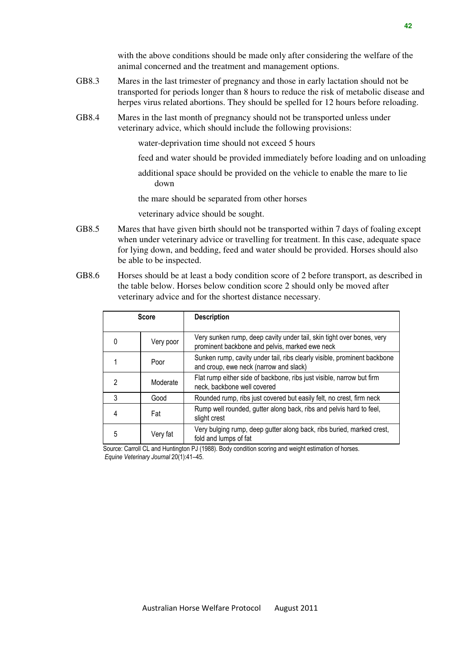with the above conditions should be made only after considering the welfare of the animal concerned and the treatment and management options.

- GB8.3 Mares in the last trimester of pregnancy and those in early lactation should not be transported for periods longer than 8 hours to reduce the risk of metabolic disease and herpes virus related abortions. They should be spelled for 12 hours before reloading.
- GB8.4 Mares in the last month of pregnancy should not be transported unless under veterinary advice, which should include the following provisions:

water-deprivation time should not exceed 5 hours

- feed and water should be provided immediately before loading and on unloading
- additional space should be provided on the vehicle to enable the mare to lie down

the mare should be separated from other horses

veterinary advice should be sought.

- GB8.5 Mares that have given birth should not be transported within 7 days of foaling except when under veterinary advice or travelling for treatment. In this case, adequate space for lying down, and bedding, feed and water should be provided. Horses should also be able to be inspected.
- GB8.6 Horses should be at least a body condition score of 2 before transport, as described in the table below. Horses below condition score 2 should only be moved after veterinary advice and for the shortest distance necessary.

|   | <b>Score</b> | <b>Description</b>                                                                                                      |
|---|--------------|-------------------------------------------------------------------------------------------------------------------------|
| 0 | Very poor    | Very sunken rump, deep cavity under tail, skin tight over bones, very<br>prominent backbone and pelvis, marked ewe neck |
|   | Poor         | Sunken rump, cavity under tail, ribs clearly visible, prominent backbone<br>and croup, ewe neck (narrow and slack)      |
| 2 | Moderate     | Flat rump either side of backbone, ribs just visible, narrow but firm<br>neck, backbone well covered                    |
| 3 | Good         | Rounded rump, ribs just covered but easily felt, no crest, firm neck                                                    |
| 4 | Fat          | Rump well rounded, gutter along back, ribs and pelvis hard to feel,<br>slight crest                                     |
| 5 | Very fat     | Very bulging rump, deep gutter along back, ribs buried, marked crest,<br>fold and lumps of fat                          |

Source: Carroll CL and Huntington PJ (1988). Body condition scoring and weight estimation of horses. Equine Veterinary Journal 20(1):41–45.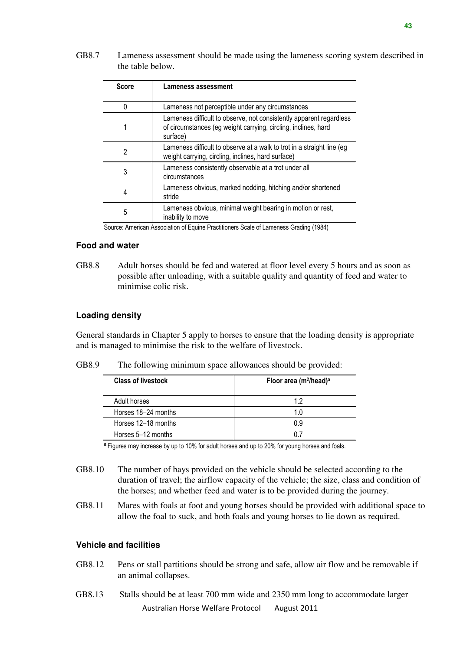GB8.7 Lameness assessment should be made using the lameness scoring system described in the table below.

| Lameness not perceptible under any circumstances<br>0<br>of circumstances (eg weight carrying, circling, inclines, hard<br>surface)<br>2<br>weight carrying, circling, inclines, hard surface)<br>Lameness consistently observable at a trot under all<br>3<br>circumstances<br>Lameness obvious, marked nodding, hitching and/or shortened<br>4<br>stride<br>Lameness obvious, minimal weight bearing in motion or rest,<br>5 | <b>Score</b> | <b>Lameness assessment</b>                                             |
|--------------------------------------------------------------------------------------------------------------------------------------------------------------------------------------------------------------------------------------------------------------------------------------------------------------------------------------------------------------------------------------------------------------------------------|--------------|------------------------------------------------------------------------|
|                                                                                                                                                                                                                                                                                                                                                                                                                                |              |                                                                        |
|                                                                                                                                                                                                                                                                                                                                                                                                                                |              | Lameness difficult to observe, not consistently apparent regardless    |
|                                                                                                                                                                                                                                                                                                                                                                                                                                |              | Lameness difficult to observe at a walk to trot in a straight line (eg |
|                                                                                                                                                                                                                                                                                                                                                                                                                                |              |                                                                        |
|                                                                                                                                                                                                                                                                                                                                                                                                                                |              |                                                                        |
|                                                                                                                                                                                                                                                                                                                                                                                                                                |              | inability to move                                                      |

Source: American Association of Equine Practitioners Scale of Lameness Grading (1984)

#### **Food and water**

GB8.8 Adult horses should be fed and watered at floor level every 5 hours and as soon as possible after unloading, with a suitable quality and quantity of feed and water to minimise colic risk.

#### **Loading density**

General standards in Chapter 5 apply to horses to ensure that the loading density is appropriate and is managed to minimise the risk to the welfare of livestock.

|  | GB8.9 |  |  | The following minimum space allowances should be provided: |  |  |
|--|-------|--|--|------------------------------------------------------------|--|--|
|--|-------|--|--|------------------------------------------------------------|--|--|

| <b>Class of livestock</b> | Floor area (m <sup>2</sup> /head) <sup>a</sup> |  |  |
|---------------------------|------------------------------------------------|--|--|
| Adult horses              | 12                                             |  |  |
| Horses 18-24 months       | 1.0                                            |  |  |
| Horses 12-18 months       | 0.9                                            |  |  |
| Horses 5–12 months        |                                                |  |  |

<sup>a</sup> Figures may increase by up to 10% for adult horses and up to 20% for young horses and foals.

- GB8.10 The number of bays provided on the vehicle should be selected according to the duration of travel; the airflow capacity of the vehicle; the size, class and condition of the horses; and whether feed and water is to be provided during the journey.
- GB8.11 Mares with foals at foot and young horses should be provided with additional space to allow the foal to suck, and both foals and young horses to lie down as required.

#### **Vehicle and facilities**

- GB8.12 Pens or stall partitions should be strong and safe, allow air flow and be removable if an animal collapses.
- Australian Horse Welfare Protocol August 2011 GB8.13 Stalls should be at least 700 mm wide and 2350 mm long to accommodate larger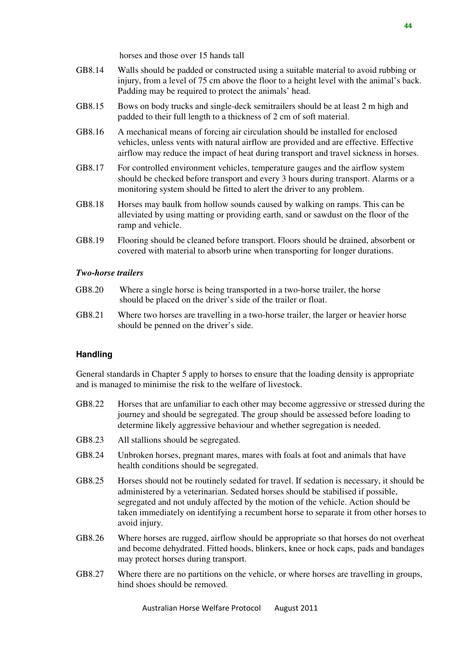horses and those over 15 hands tall

- GB8.14 Walls should be padded or constructed using a suitable material to avoid rubbing or injury, from a level of 75 cm above the floor to a height level with the animal's back. Padding may be required to protect the animals' head.
- GB8.15 Bows on body trucks and single-deck semitrailers should be at least 2 m high and padded to their full length to a thickness of 2 cm of soft material.
- GB8.16 A mechanical means of forcing air circulation should be installed for enclosed vehicles, unless vents with natural airflow are provided and are effective. Effective airflow may reduce the impact of heat during transport and travel sickness in horses.
- GB8.17 For controlled environment vehicles, temperature gauges and the airflow system should be checked before transport and every 3 hours during transport. Alarms or a monitoring system should be fitted to alert the driver to any problem.
- GB8.18 Horses may baulk from hollow sounds caused by walking on ramps. This can be alleviated by using matting or providing earth, sand or sawdust on the floor of the ramp and vehicle.
- GB8.19 Flooring should be cleaned before transport. Floors should be drained, absorbent or covered with material to absorb urine when transporting for longer durations.

#### *Two-horse trailers*

- GB8.20 Where a single horse is being transported in a two-horse trailer, the horse should be placed on the driver's side of the trailer or float.
- GB8.21 Where two horses are travelling in a two-horse trailer, the larger or heavier horse should be penned on the driver's side.

#### **Handling**

General standards in Chapter 5 apply to horses to ensure that the loading density is appropriate and is managed to minimise the risk to the welfare of livestock.

- GB8.22 Horses that are unfamiliar to each other may become aggressive or stressed during the journey and should be segregated. The group should be assessed before loading to determine likely aggressive behaviour and whether segregation is needed.
- GB8.23 All stallions should be segregated.
- GB8.24 Unbroken horses, pregnant mares, mares with foals at foot and animals that have health conditions should be segregated.
- GB8.25 Horses should not be routinely sedated for travel. If sedation is necessary, it should be administered by a veterinarian. Sedated horses should be stabilised if possible, segregated and not unduly affected by the motion of the vehicle. Action should be taken immediately on identifying a recumbent horse to separate it from other horses to avoid injury.
- GB8.26 Where horses are rugged, airflow should be appropriate so that horses do not overheat and become dehydrated. Fitted hoods, blinkers, knee or hock caps, pads and bandages may protect horses during transport.
- GB8.27 Where there are no partitions on the vehicle, or where horses are travelling in groups, hind shoes should be removed.